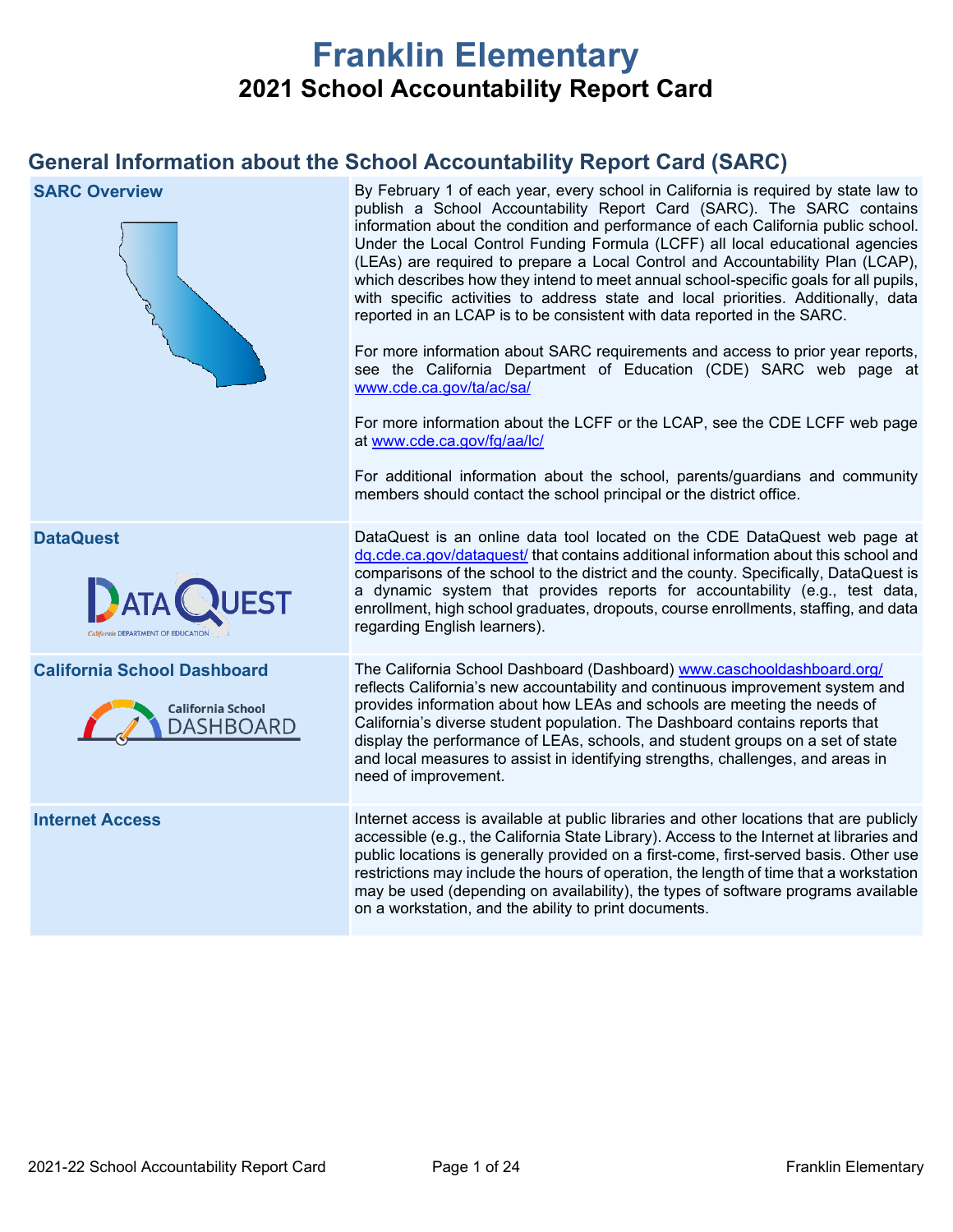# **Franklin Elementary 2021 School Accountability Report Card**

## **General Information about the School Accountability Report Card (SARC)**

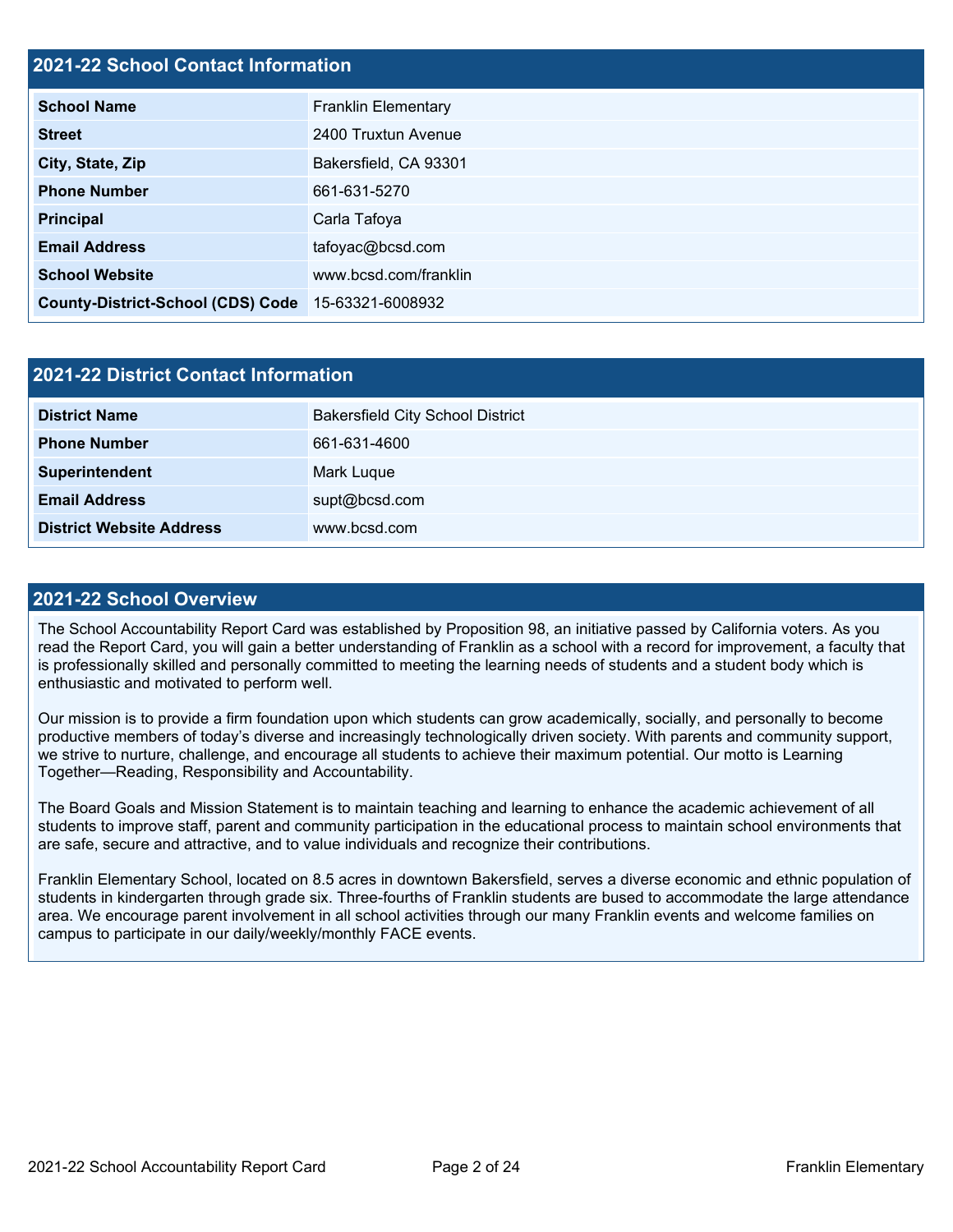## **2021-22 School Contact Information**

| <b>School Name</b>                       | <b>Franklin Elementary</b> |  |  |  |
|------------------------------------------|----------------------------|--|--|--|
| <b>Street</b>                            | 2400 Truxtun Avenue        |  |  |  |
| City, State, Zip                         | Bakersfield, CA 93301      |  |  |  |
| <b>Phone Number</b>                      | 661-631-5270               |  |  |  |
| <b>Principal</b>                         | Carla Tafoya               |  |  |  |
| <b>Email Address</b>                     | tafoyac@bcsd.com           |  |  |  |
| <b>School Website</b>                    | www.bcsd.com/franklin      |  |  |  |
| <b>County-District-School (CDS) Code</b> | 15-63321-6008932           |  |  |  |

| <b>2021-22 District Contact Information</b> |                                         |  |  |  |
|---------------------------------------------|-----------------------------------------|--|--|--|
| <b>District Name</b>                        | <b>Bakersfield City School District</b> |  |  |  |
| <b>Phone Number</b>                         | 661-631-4600                            |  |  |  |
| Superintendent                              | Mark Luque                              |  |  |  |
| <b>Email Address</b>                        | supt@bcsd.com                           |  |  |  |
| <b>District Website Address</b>             | www.bcsd.com                            |  |  |  |

#### **2021-22 School Overview**

The School Accountability Report Card was established by Proposition 98, an initiative passed by California voters. As you read the Report Card, you will gain a better understanding of Franklin as a school with a record for improvement, a faculty that is professionally skilled and personally committed to meeting the learning needs of students and a student body which is enthusiastic and motivated to perform well.

Our mission is to provide a firm foundation upon which students can grow academically, socially, and personally to become productive members of today's diverse and increasingly technologically driven society. With parents and community support, we strive to nurture, challenge, and encourage all students to achieve their maximum potential. Our motto is Learning Together—Reading, Responsibility and Accountability.

The Board Goals and Mission Statement is to maintain teaching and learning to enhance the academic achievement of all students to improve staff, parent and community participation in the educational process to maintain school environments that are safe, secure and attractive, and to value individuals and recognize their contributions.

Franklin Elementary School, located on 8.5 acres in downtown Bakersfield, serves a diverse economic and ethnic population of students in kindergarten through grade six. Three-fourths of Franklin students are bused to accommodate the large attendance area. We encourage parent involvement in all school activities through our many Franklin events and welcome families on campus to participate in our daily/weekly/monthly FACE events.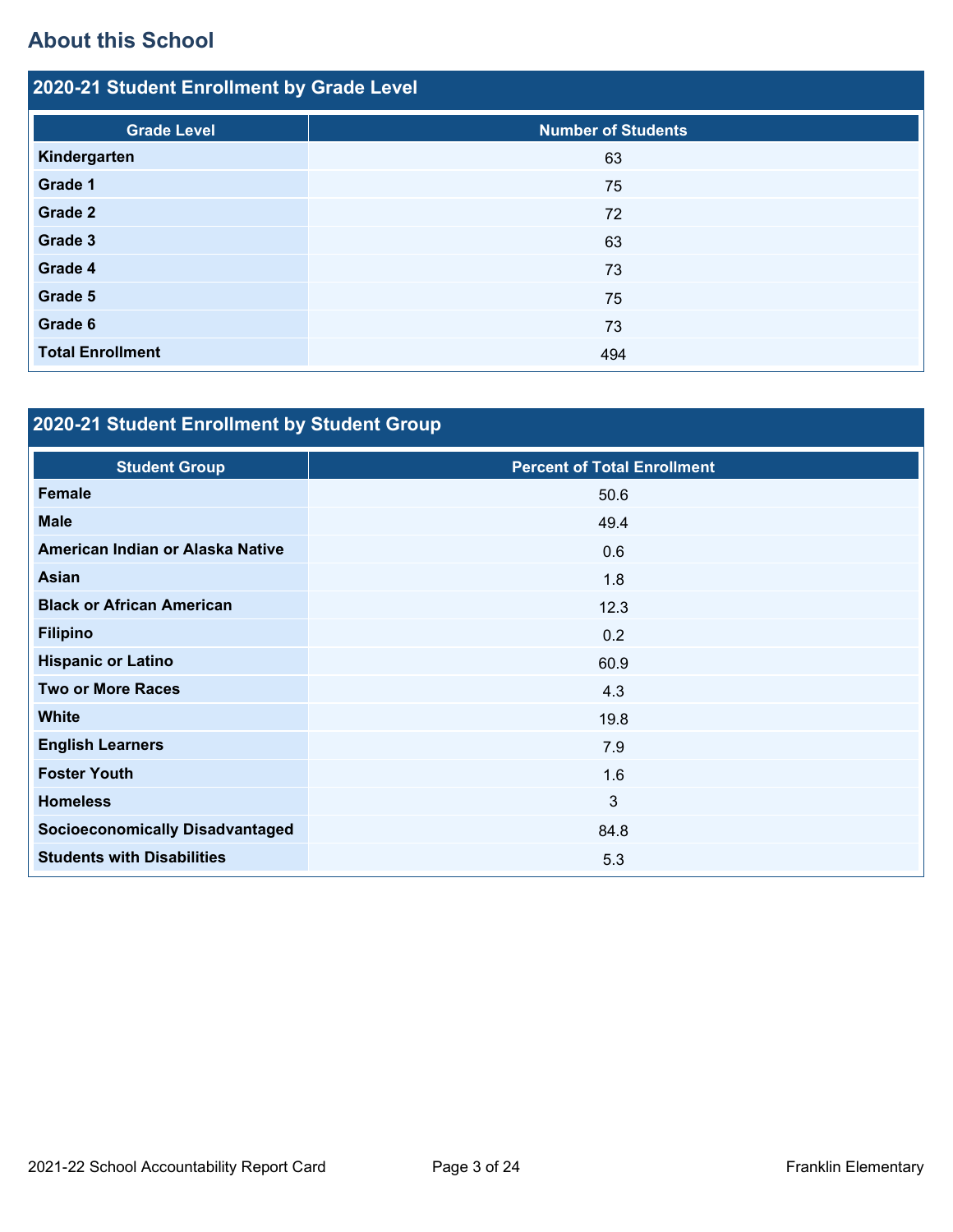# **About this School**

| 2020-21 Student Enrollment by Grade Level |                           |  |  |  |  |
|-------------------------------------------|---------------------------|--|--|--|--|
| <b>Grade Level</b>                        | <b>Number of Students</b> |  |  |  |  |
| Kindergarten                              | 63                        |  |  |  |  |
| Grade 1                                   | 75                        |  |  |  |  |
| <b>Grade 2</b>                            | 72                        |  |  |  |  |
| Grade 3                                   | 63                        |  |  |  |  |
| Grade 4                                   | 73                        |  |  |  |  |
| Grade 5                                   | 75                        |  |  |  |  |
| Grade 6                                   | 73                        |  |  |  |  |
| <b>Total Enrollment</b>                   | 494                       |  |  |  |  |

# **2020-21 Student Enrollment by Student Group**

| <b>Student Group</b>                   | <b>Percent of Total Enrollment</b> |
|----------------------------------------|------------------------------------|
| <b>Female</b>                          | 50.6                               |
| <b>Male</b>                            | 49.4                               |
| American Indian or Alaska Native       | 0.6                                |
| <b>Asian</b>                           | 1.8                                |
| <b>Black or African American</b>       | 12.3                               |
| <b>Filipino</b>                        | 0.2                                |
| <b>Hispanic or Latino</b>              | 60.9                               |
| <b>Two or More Races</b>               | 4.3                                |
| <b>White</b>                           | 19.8                               |
| <b>English Learners</b>                | 7.9                                |
| <b>Foster Youth</b>                    | 1.6                                |
| <b>Homeless</b>                        | $\mathbf{3}$                       |
| <b>Socioeconomically Disadvantaged</b> | 84.8                               |
| <b>Students with Disabilities</b>      | 5.3                                |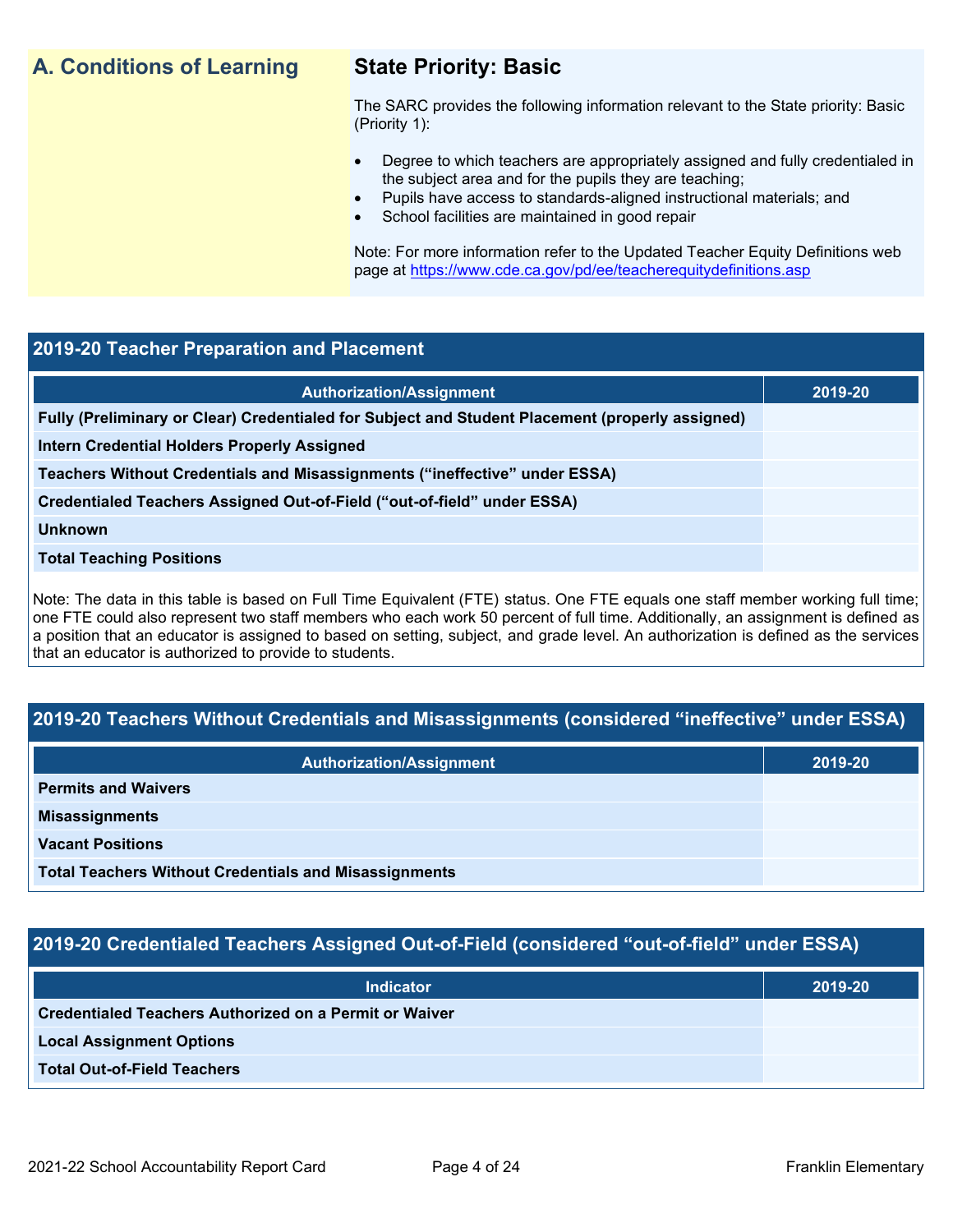## **A. Conditions of Learning State Priority: Basic**

The SARC provides the following information relevant to the State priority: Basic (Priority 1):

- Degree to which teachers are appropriately assigned and fully credentialed in the subject area and for the pupils they are teaching;
	- Pupils have access to standards-aligned instructional materials; and
- School facilities are maintained in good repair

Note: For more information refer to the Updated Teacher Equity Definitions web page at<https://www.cde.ca.gov/pd/ee/teacherequitydefinitions.asp>

## **2019-20 Teacher Preparation and Placement**

| <b>Authorization/Assignment</b>                                                                 | 2019-20 |
|-------------------------------------------------------------------------------------------------|---------|
| Fully (Preliminary or Clear) Credentialed for Subject and Student Placement (properly assigned) |         |
| Intern Credential Holders Properly Assigned                                                     |         |
| Teachers Without Credentials and Misassignments ("ineffective" under ESSA)                      |         |
| Credentialed Teachers Assigned Out-of-Field ("out-of-field" under ESSA)                         |         |
| <b>Unknown</b>                                                                                  |         |
| <b>Total Teaching Positions</b>                                                                 |         |
|                                                                                                 |         |

Note: The data in this table is based on Full Time Equivalent (FTE) status. One FTE equals one staff member working full time; one FTE could also represent two staff members who each work 50 percent of full time. Additionally, an assignment is defined as a position that an educator is assigned to based on setting, subject, and grade level. An authorization is defined as the services that an educator is authorized to provide to students.

## **2019-20 Teachers Without Credentials and Misassignments (considered "ineffective" under ESSA)**

| <b>Authorization/Assignment</b>                              | 2019-20 |
|--------------------------------------------------------------|---------|
| <b>Permits and Waivers</b>                                   |         |
| <b>Misassignments</b>                                        |         |
| <b>Vacant Positions</b>                                      |         |
| <b>Total Teachers Without Credentials and Misassignments</b> |         |

## **2019-20 Credentialed Teachers Assigned Out-of-Field (considered "out-of-field" under ESSA)**

| <b>Indicator</b>                                       | 2019-20 |
|--------------------------------------------------------|---------|
| Credentialed Teachers Authorized on a Permit or Waiver |         |
| <b>Local Assignment Options</b>                        |         |
| <b>Total Out-of-Field Teachers</b>                     |         |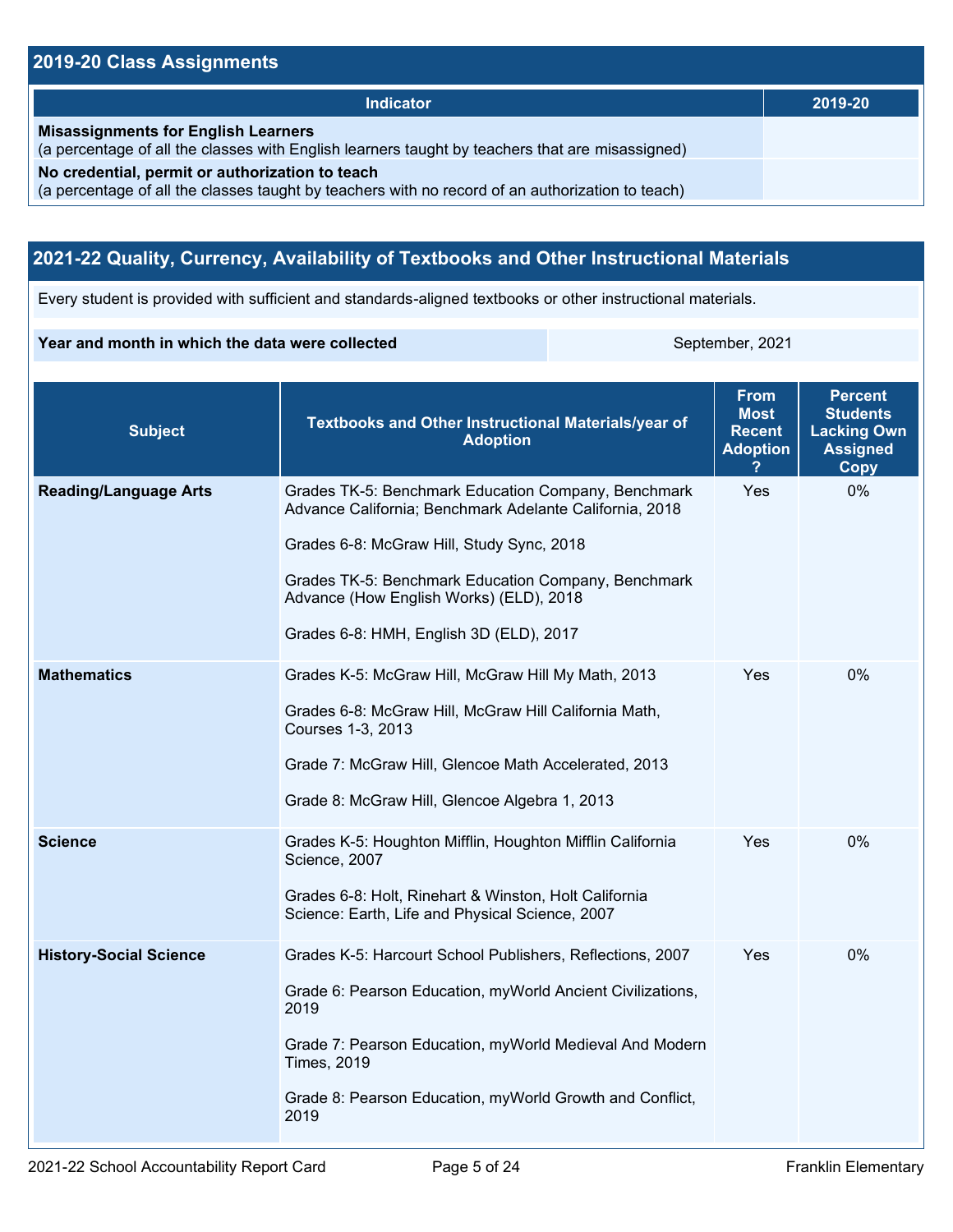## **2019-20 Class Assignments**

| <b>Indicator</b>                                                                                                                                    | 2019-20 |
|-----------------------------------------------------------------------------------------------------------------------------------------------------|---------|
| <b>Misassignments for English Learners</b><br>(a percentage of all the classes with English learners taught by teachers that are misassigned)       |         |
| No credential, permit or authorization to teach<br>(a percentage of all the classes taught by teachers with no record of an authorization to teach) |         |

## **2021-22 Quality, Currency, Availability of Textbooks and Other Instructional Materials**

Every student is provided with sufficient and standards-aligned textbooks or other instructional materials.

#### **Year and month in which the data were collected** September, 2021

| <b>Subject</b>                | Textbooks and Other Instructional Materials/year of<br><b>Adoption</b>                                                                                                                                                                                                                                   | <b>From</b><br><b>Most</b><br><b>Recent</b><br><b>Adoption</b> | <b>Percent</b><br><b>Students</b><br><b>Lacking Own</b><br><b>Assigned</b><br><b>Copy</b> |
|-------------------------------|----------------------------------------------------------------------------------------------------------------------------------------------------------------------------------------------------------------------------------------------------------------------------------------------------------|----------------------------------------------------------------|-------------------------------------------------------------------------------------------|
| <b>Reading/Language Arts</b>  | Grades TK-5: Benchmark Education Company, Benchmark<br>Advance California; Benchmark Adelante California, 2018<br>Grades 6-8: McGraw Hill, Study Sync, 2018<br>Grades TK-5: Benchmark Education Company, Benchmark<br>Advance (How English Works) (ELD), 2018<br>Grades 6-8: HMH, English 3D (ELD), 2017 | Yes                                                            | 0%                                                                                        |
| <b>Mathematics</b>            | Grades K-5: McGraw Hill, McGraw Hill My Math, 2013<br>Grades 6-8: McGraw Hill, McGraw Hill California Math,<br>Courses 1-3, 2013<br>Grade 7: McGraw Hill, Glencoe Math Accelerated, 2013<br>Grade 8: McGraw Hill, Glencoe Algebra 1, 2013                                                                | Yes                                                            | 0%                                                                                        |
| <b>Science</b>                | Grades K-5: Houghton Mifflin, Houghton Mifflin California<br>Science, 2007<br>Grades 6-8: Holt, Rinehart & Winston, Holt California<br>Science: Earth, Life and Physical Science, 2007                                                                                                                   | Yes                                                            | 0%                                                                                        |
| <b>History-Social Science</b> | Grades K-5: Harcourt School Publishers, Reflections, 2007<br>Grade 6: Pearson Education, myWorld Ancient Civilizations,<br>2019<br>Grade 7: Pearson Education, myWorld Medieval And Modern<br><b>Times, 2019</b><br>Grade 8: Pearson Education, myWorld Growth and Conflict,<br>2019                     | Yes                                                            | 0%                                                                                        |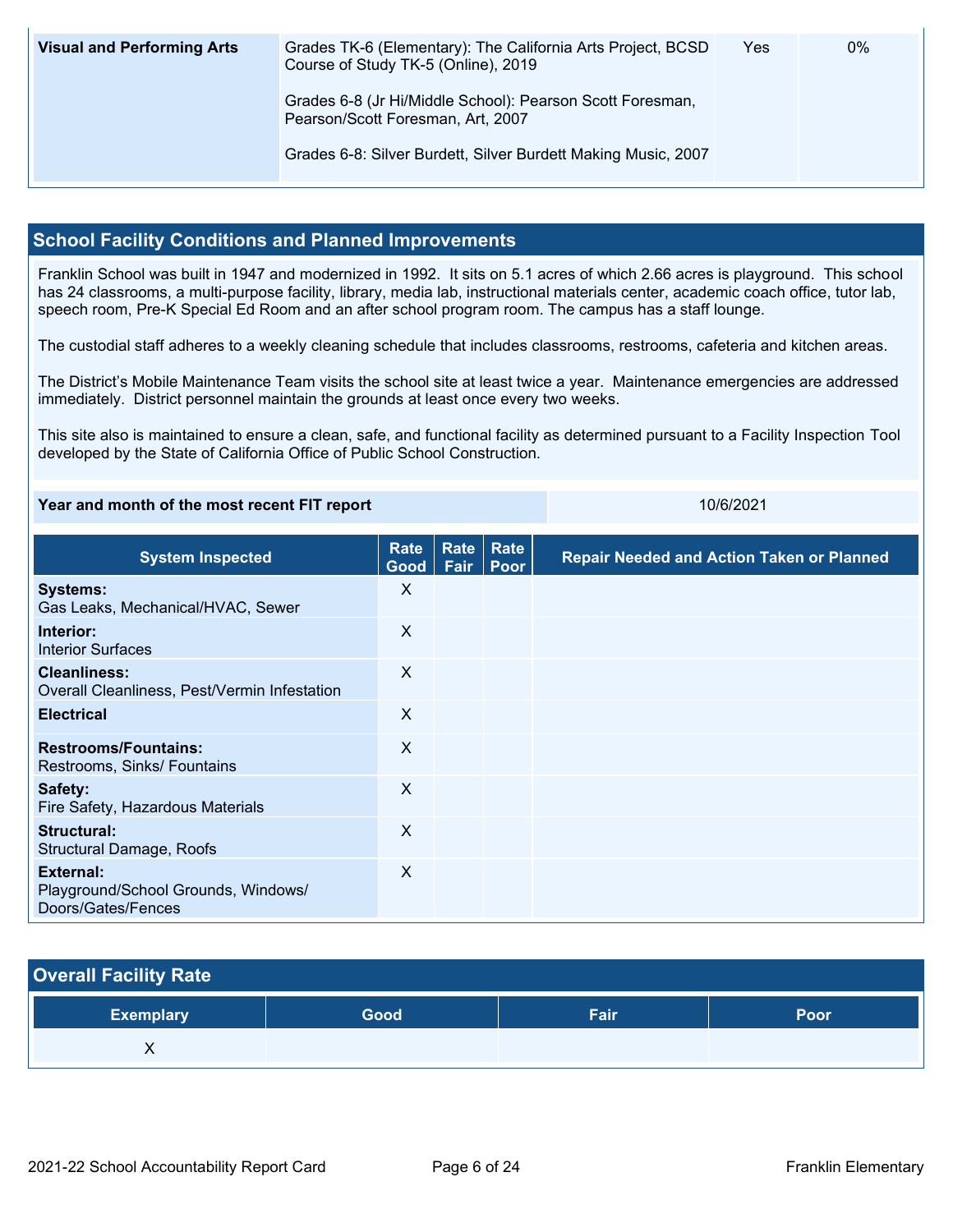| <b>Visual and Performing Arts</b> | Grades TK-6 (Elementary): The California Arts Project, BCSD<br>Course of Study TK-5 (Online), 2019 | Yes | 0% |
|-----------------------------------|----------------------------------------------------------------------------------------------------|-----|----|
|                                   | Grades 6-8 (Jr Hi/Middle School): Pearson Scott Foresman,<br>Pearson/Scott Foresman, Art, 2007     |     |    |
|                                   | Grades 6-8: Silver Burdett, Silver Burdett Making Music, 2007                                      |     |    |

## **School Facility Conditions and Planned Improvements**

Franklin School was built in 1947 and modernized in 1992. It sits on 5.1 acres of which 2.66 acres is playground. This school has 24 classrooms, a multi-purpose facility, library, media lab, instructional materials center, academic coach office, tutor lab, speech room, Pre-K Special Ed Room and an after school program room. The campus has a staff lounge.

The custodial staff adheres to a weekly cleaning schedule that includes classrooms, restrooms, cafeteria and kitchen areas.

The District's Mobile Maintenance Team visits the school site at least twice a year. Maintenance emergencies are addressed immediately. District personnel maintain the grounds at least once every two weeks.

This site also is maintained to ensure a clean, safe, and functional facility as determined pursuant to a Facility Inspection Tool developed by the State of California Office of Public School Construction.

#### **Year and month of the most recent FIT report** 10/6/2021

| <b>System Inspected</b>                                                       | <b>Rate</b><br>Good | Rate<br>Fair | <b>Rate</b><br>Poor | <b>Repair Needed and Action Taken or Planned</b> |
|-------------------------------------------------------------------------------|---------------------|--------------|---------------------|--------------------------------------------------|
| <b>Systems:</b><br>Gas Leaks, Mechanical/HVAC, Sewer                          | X                   |              |                     |                                                  |
| Interior:<br><b>Interior Surfaces</b>                                         | X                   |              |                     |                                                  |
| <b>Cleanliness:</b><br>Overall Cleanliness, Pest/Vermin Infestation           | X                   |              |                     |                                                  |
| <b>Electrical</b>                                                             | $\sf X$             |              |                     |                                                  |
| <b>Restrooms/Fountains:</b><br>Restrooms, Sinks/ Fountains                    | X                   |              |                     |                                                  |
| Safety:<br>Fire Safety, Hazardous Materials                                   | X                   |              |                     |                                                  |
| Structural:<br>Structural Damage, Roofs                                       | X                   |              |                     |                                                  |
| <b>External:</b><br>Playground/School Grounds, Windows/<br>Doors/Gates/Fences | X                   |              |                     |                                                  |

## **Overall Facility Rate**

| <b>Exemplary</b> | Good | Fair | Poor |
|------------------|------|------|------|
| , ,              |      |      |      |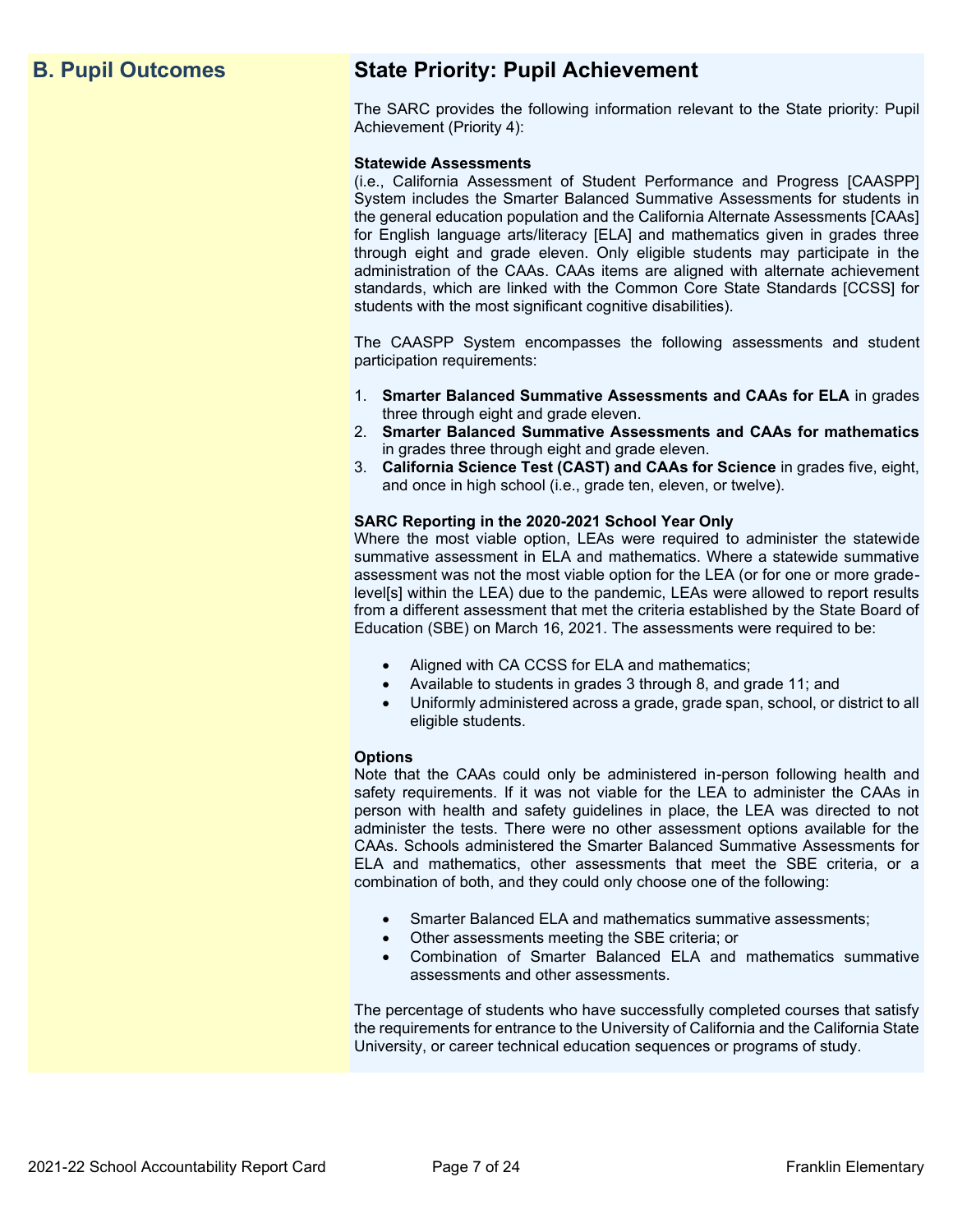## **B. Pupil Outcomes State Priority: Pupil Achievement**

The SARC provides the following information relevant to the State priority: Pupil Achievement (Priority 4):

#### **Statewide Assessments**

(i.e., California Assessment of Student Performance and Progress [CAASPP] System includes the Smarter Balanced Summative Assessments for students in the general education population and the California Alternate Assessments [CAAs] for English language arts/literacy [ELA] and mathematics given in grades three through eight and grade eleven. Only eligible students may participate in the administration of the CAAs. CAAs items are aligned with alternate achievement standards, which are linked with the Common Core State Standards [CCSS] for students with the most significant cognitive disabilities).

The CAASPP System encompasses the following assessments and student participation requirements:

- 1. **Smarter Balanced Summative Assessments and CAAs for ELA** in grades three through eight and grade eleven.
- 2. **Smarter Balanced Summative Assessments and CAAs for mathematics** in grades three through eight and grade eleven.
- 3. **California Science Test (CAST) and CAAs for Science** in grades five, eight, and once in high school (i.e., grade ten, eleven, or twelve).

#### **SARC Reporting in the 2020-2021 School Year Only**

Where the most viable option, LEAs were required to administer the statewide summative assessment in ELA and mathematics. Where a statewide summative assessment was not the most viable option for the LEA (or for one or more gradelevel[s] within the LEA) due to the pandemic, LEAs were allowed to report results from a different assessment that met the criteria established by the State Board of Education (SBE) on March 16, 2021. The assessments were required to be:

- Aligned with CA CCSS for ELA and mathematics;
- Available to students in grades 3 through 8, and grade 11; and
- Uniformly administered across a grade, grade span, school, or district to all eligible students.

#### **Options**

Note that the CAAs could only be administered in-person following health and safety requirements. If it was not viable for the LEA to administer the CAAs in person with health and safety guidelines in place, the LEA was directed to not administer the tests. There were no other assessment options available for the CAAs. Schools administered the Smarter Balanced Summative Assessments for ELA and mathematics, other assessments that meet the SBE criteria, or a combination of both, and they could only choose one of the following:

- Smarter Balanced ELA and mathematics summative assessments;
- Other assessments meeting the SBE criteria; or
- Combination of Smarter Balanced ELA and mathematics summative assessments and other assessments.

The percentage of students who have successfully completed courses that satisfy the requirements for entrance to the University of California and the California State University, or career technical education sequences or programs of study.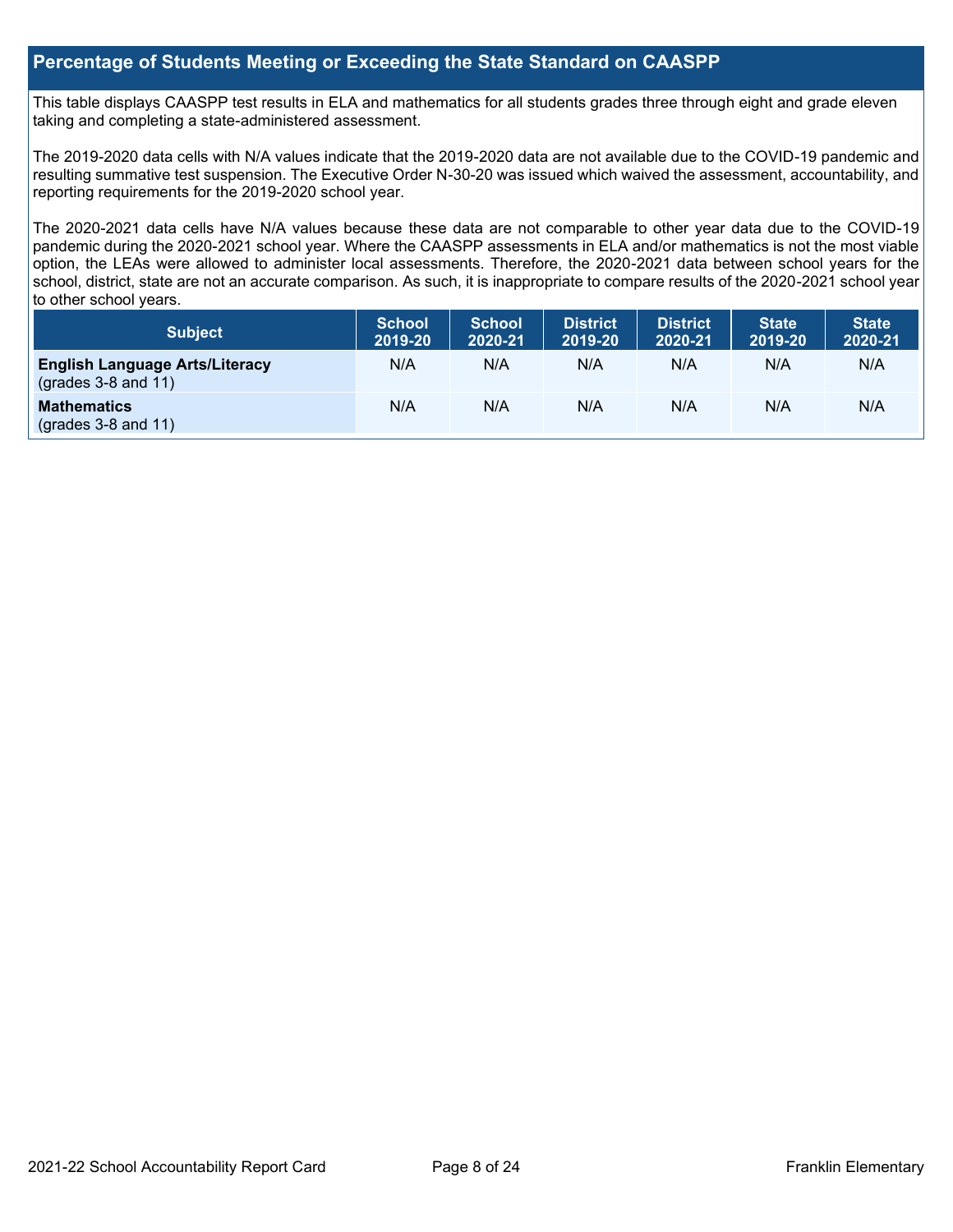## **Percentage of Students Meeting or Exceeding the State Standard on CAASPP**

This table displays CAASPP test results in ELA and mathematics for all students grades three through eight and grade eleven taking and completing a state-administered assessment.

The 2019-2020 data cells with N/A values indicate that the 2019-2020 data are not available due to the COVID-19 pandemic and resulting summative test suspension. The Executive Order N-30-20 was issued which waived the assessment, accountability, and reporting requirements for the 2019-2020 school year.

The 2020-2021 data cells have N/A values because these data are not comparable to other year data due to the COVID-19 pandemic during the 2020-2021 school year. Where the CAASPP assessments in ELA and/or mathematics is not the most viable option, the LEAs were allowed to administer local assessments. Therefore, the 2020-2021 data between school years for the school, district, state are not an accurate comparison. As such, it is inappropriate to compare results of the 2020-2021 school year to other school years.

| Subject                                                              | <b>School</b><br>2019-20 | <b>School</b><br>2020-21 | <b>District</b><br>2019-20 | <b>District</b><br>2020-21 | <b>State</b><br>2019-20 | <b>State</b><br>2020-21 |
|----------------------------------------------------------------------|--------------------------|--------------------------|----------------------------|----------------------------|-------------------------|-------------------------|
| <b>English Language Arts/Literacy</b><br>$\left($ grades 3-8 and 11) | N/A                      | N/A                      | N/A                        | N/A                        | N/A                     | N/A                     |
| <b>Mathematics</b><br>$(grades 3-8 and 11)$                          | N/A                      | N/A                      | N/A                        | N/A                        | N/A                     | N/A                     |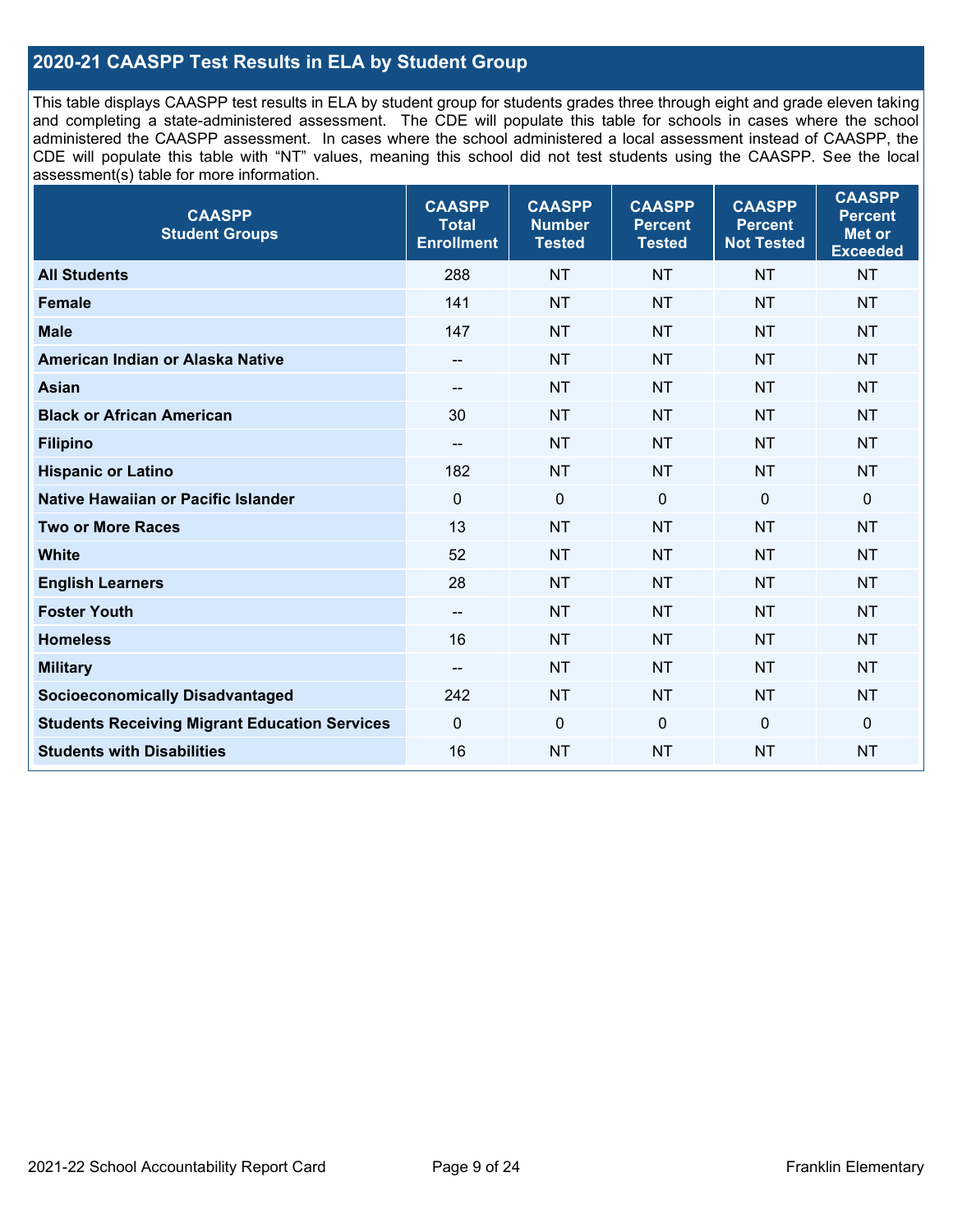## **2020-21 CAASPP Test Results in ELA by Student Group**

This table displays CAASPP test results in ELA by student group for students grades three through eight and grade eleven taking and completing a state-administered assessment. The CDE will populate this table for schools in cases where the school administered the CAASPP assessment. In cases where the school administered a local assessment instead of CAASPP, the CDE will populate this table with "NT" values, meaning this school did not test students using the CAASPP. See the local assessment(s) table for more information.

| <b>CAASPP</b><br><b>Student Groups</b>               | <b>CAASPP</b><br><b>Total</b><br><b>Enrollment</b> | <b>CAASPP</b><br><b>Number</b><br><b>Tested</b> | <b>CAASPP</b><br><b>Percent</b><br><b>Tested</b> | <b>CAASPP</b><br><b>Percent</b><br><b>Not Tested</b> | <b>CAASPP</b><br><b>Percent</b><br>Met or<br><b>Exceeded</b> |
|------------------------------------------------------|----------------------------------------------------|-------------------------------------------------|--------------------------------------------------|------------------------------------------------------|--------------------------------------------------------------|
| <b>All Students</b>                                  | 288                                                | <b>NT</b>                                       | <b>NT</b>                                        | <b>NT</b>                                            | <b>NT</b>                                                    |
| <b>Female</b>                                        | 141                                                | <b>NT</b>                                       | <b>NT</b>                                        | <b>NT</b>                                            | <b>NT</b>                                                    |
| <b>Male</b>                                          | 147                                                | <b>NT</b>                                       | <b>NT</b>                                        | <b>NT</b>                                            | <b>NT</b>                                                    |
| American Indian or Alaska Native                     | $\overline{\phantom{a}}$                           | <b>NT</b>                                       | <b>NT</b>                                        | <b>NT</b>                                            | <b>NT</b>                                                    |
| <b>Asian</b>                                         | --                                                 | <b>NT</b>                                       | <b>NT</b>                                        | <b>NT</b>                                            | <b>NT</b>                                                    |
| <b>Black or African American</b>                     | 30                                                 | <b>NT</b>                                       | <b>NT</b>                                        | <b>NT</b>                                            | <b>NT</b>                                                    |
| <b>Filipino</b>                                      | $\overline{\phantom{a}}$                           | <b>NT</b>                                       | <b>NT</b>                                        | <b>NT</b>                                            | <b>NT</b>                                                    |
| <b>Hispanic or Latino</b>                            | 182                                                | <b>NT</b>                                       | <b>NT</b>                                        | <b>NT</b>                                            | <b>NT</b>                                                    |
| Native Hawaiian or Pacific Islander                  | $\mathbf 0$                                        | $\mathbf 0$                                     | $\mathbf 0$                                      | $\mathbf 0$                                          | $\mathbf 0$                                                  |
| <b>Two or More Races</b>                             | 13                                                 | <b>NT</b>                                       | <b>NT</b>                                        | <b>NT</b>                                            | <b>NT</b>                                                    |
| <b>White</b>                                         | 52                                                 | <b>NT</b>                                       | <b>NT</b>                                        | <b>NT</b>                                            | <b>NT</b>                                                    |
| <b>English Learners</b>                              | 28                                                 | <b>NT</b>                                       | <b>NT</b>                                        | <b>NT</b>                                            | <b>NT</b>                                                    |
| <b>Foster Youth</b>                                  | $\overline{\phantom{a}}$                           | <b>NT</b>                                       | <b>NT</b>                                        | <b>NT</b>                                            | <b>NT</b>                                                    |
| <b>Homeless</b>                                      | 16                                                 | <b>NT</b>                                       | <b>NT</b>                                        | <b>NT</b>                                            | <b>NT</b>                                                    |
| <b>Military</b>                                      | $\overline{\phantom{a}}$                           | <b>NT</b>                                       | <b>NT</b>                                        | <b>NT</b>                                            | <b>NT</b>                                                    |
| <b>Socioeconomically Disadvantaged</b>               | 242                                                | <b>NT</b>                                       | <b>NT</b>                                        | <b>NT</b>                                            | <b>NT</b>                                                    |
| <b>Students Receiving Migrant Education Services</b> | $\mathbf 0$                                        | $\mathbf 0$                                     | $\Omega$                                         | $\mathbf 0$                                          | 0                                                            |
| <b>Students with Disabilities</b>                    | 16                                                 | <b>NT</b>                                       | <b>NT</b>                                        | <b>NT</b>                                            | <b>NT</b>                                                    |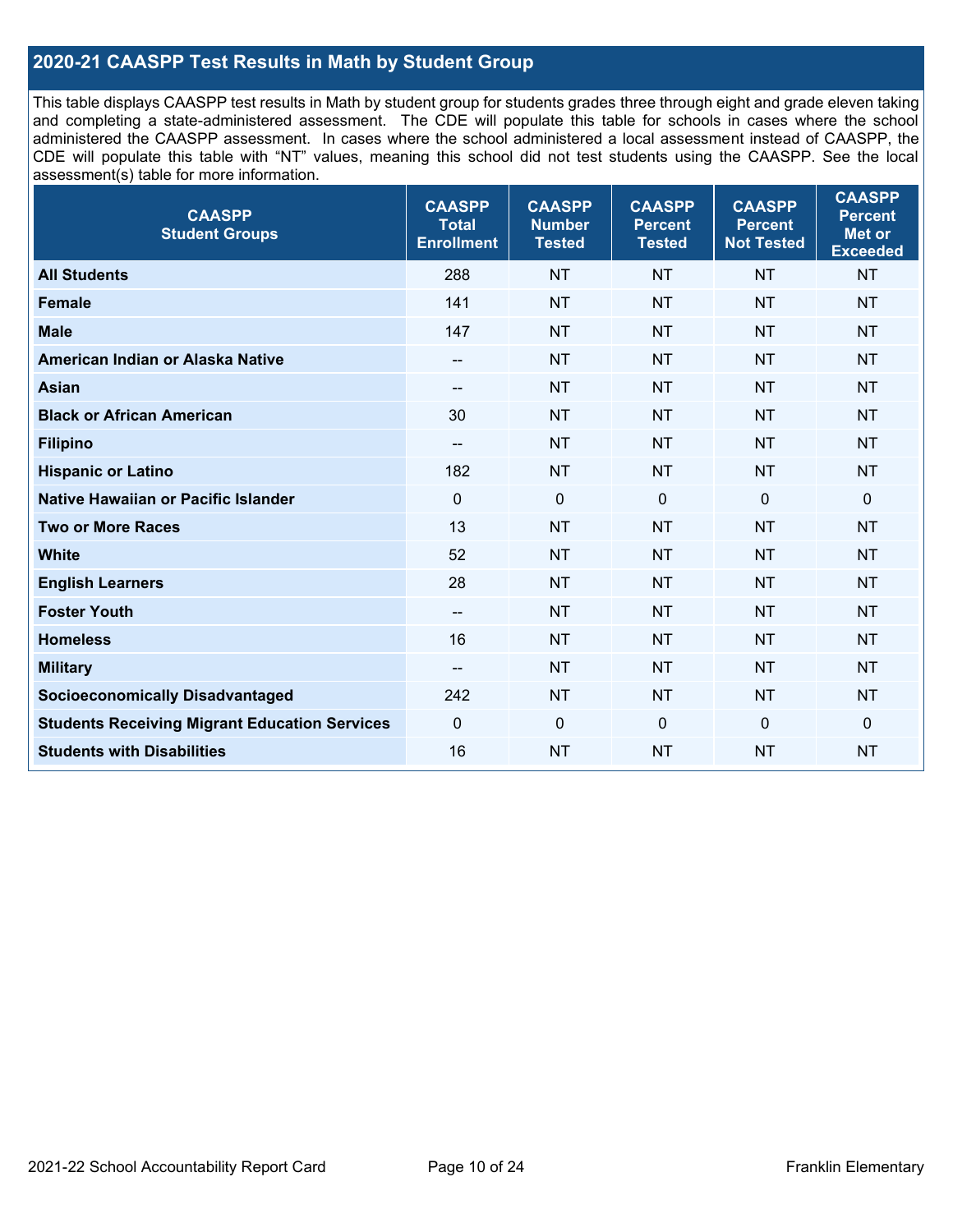## **2020-21 CAASPP Test Results in Math by Student Group**

This table displays CAASPP test results in Math by student group for students grades three through eight and grade eleven taking and completing a state-administered assessment. The CDE will populate this table for schools in cases where the school administered the CAASPP assessment. In cases where the school administered a local assessment instead of CAASPP, the CDE will populate this table with "NT" values, meaning this school did not test students using the CAASPP. See the local assessment(s) table for more information.

| <b>CAASPP</b><br><b>Student Groups</b>               | <b>CAASPP</b><br><b>Total</b><br><b>Enrollment</b> | <b>CAASPP</b><br><b>Number</b><br><b>Tested</b> | <b>CAASPP</b><br><b>Percent</b><br><b>Tested</b> | <b>CAASPP</b><br><b>Percent</b><br><b>Not Tested</b> | <b>CAASPP</b><br><b>Percent</b><br>Met or<br><b>Exceeded</b> |
|------------------------------------------------------|----------------------------------------------------|-------------------------------------------------|--------------------------------------------------|------------------------------------------------------|--------------------------------------------------------------|
| <b>All Students</b>                                  | 288                                                | <b>NT</b>                                       | <b>NT</b>                                        | <b>NT</b>                                            | <b>NT</b>                                                    |
| <b>Female</b>                                        | 141                                                | <b>NT</b>                                       | <b>NT</b>                                        | <b>NT</b>                                            | <b>NT</b>                                                    |
| <b>Male</b>                                          | 147                                                | <b>NT</b>                                       | <b>NT</b>                                        | <b>NT</b>                                            | <b>NT</b>                                                    |
| American Indian or Alaska Native                     | $\overline{\phantom{a}}$                           | <b>NT</b>                                       | <b>NT</b>                                        | <b>NT</b>                                            | <b>NT</b>                                                    |
| <b>Asian</b>                                         | --                                                 | <b>NT</b>                                       | <b>NT</b>                                        | <b>NT</b>                                            | <b>NT</b>                                                    |
| <b>Black or African American</b>                     | 30                                                 | <b>NT</b>                                       | <b>NT</b>                                        | <b>NT</b>                                            | <b>NT</b>                                                    |
| <b>Filipino</b>                                      | $\overline{\phantom{a}}$                           | <b>NT</b>                                       | <b>NT</b>                                        | <b>NT</b>                                            | <b>NT</b>                                                    |
| <b>Hispanic or Latino</b>                            | 182                                                | <b>NT</b>                                       | <b>NT</b>                                        | <b>NT</b>                                            | <b>NT</b>                                                    |
| Native Hawaiian or Pacific Islander                  | $\mathbf 0$                                        | $\mathbf 0$                                     | $\mathbf{0}$                                     | $\overline{0}$                                       | 0                                                            |
| <b>Two or More Races</b>                             | 13                                                 | <b>NT</b>                                       | <b>NT</b>                                        | <b>NT</b>                                            | <b>NT</b>                                                    |
| <b>White</b>                                         | 52                                                 | <b>NT</b>                                       | <b>NT</b>                                        | <b>NT</b>                                            | <b>NT</b>                                                    |
| <b>English Learners</b>                              | 28                                                 | <b>NT</b>                                       | <b>NT</b>                                        | <b>NT</b>                                            | <b>NT</b>                                                    |
| <b>Foster Youth</b>                                  | $\overline{\phantom{a}}$                           | <b>NT</b>                                       | <b>NT</b>                                        | <b>NT</b>                                            | <b>NT</b>                                                    |
| <b>Homeless</b>                                      | 16                                                 | <b>NT</b>                                       | <b>NT</b>                                        | <b>NT</b>                                            | <b>NT</b>                                                    |
| <b>Military</b>                                      | $\overline{\phantom{a}}$                           | <b>NT</b>                                       | <b>NT</b>                                        | <b>NT</b>                                            | <b>NT</b>                                                    |
| <b>Socioeconomically Disadvantaged</b>               | 242                                                | <b>NT</b>                                       | <b>NT</b>                                        | <b>NT</b>                                            | <b>NT</b>                                                    |
| <b>Students Receiving Migrant Education Services</b> | $\mathbf 0$                                        | $\mathbf 0$                                     | $\mathbf 0$                                      | $\mathbf 0$                                          | 0                                                            |
| <b>Students with Disabilities</b>                    | 16                                                 | <b>NT</b>                                       | <b>NT</b>                                        | <b>NT</b>                                            | <b>NT</b>                                                    |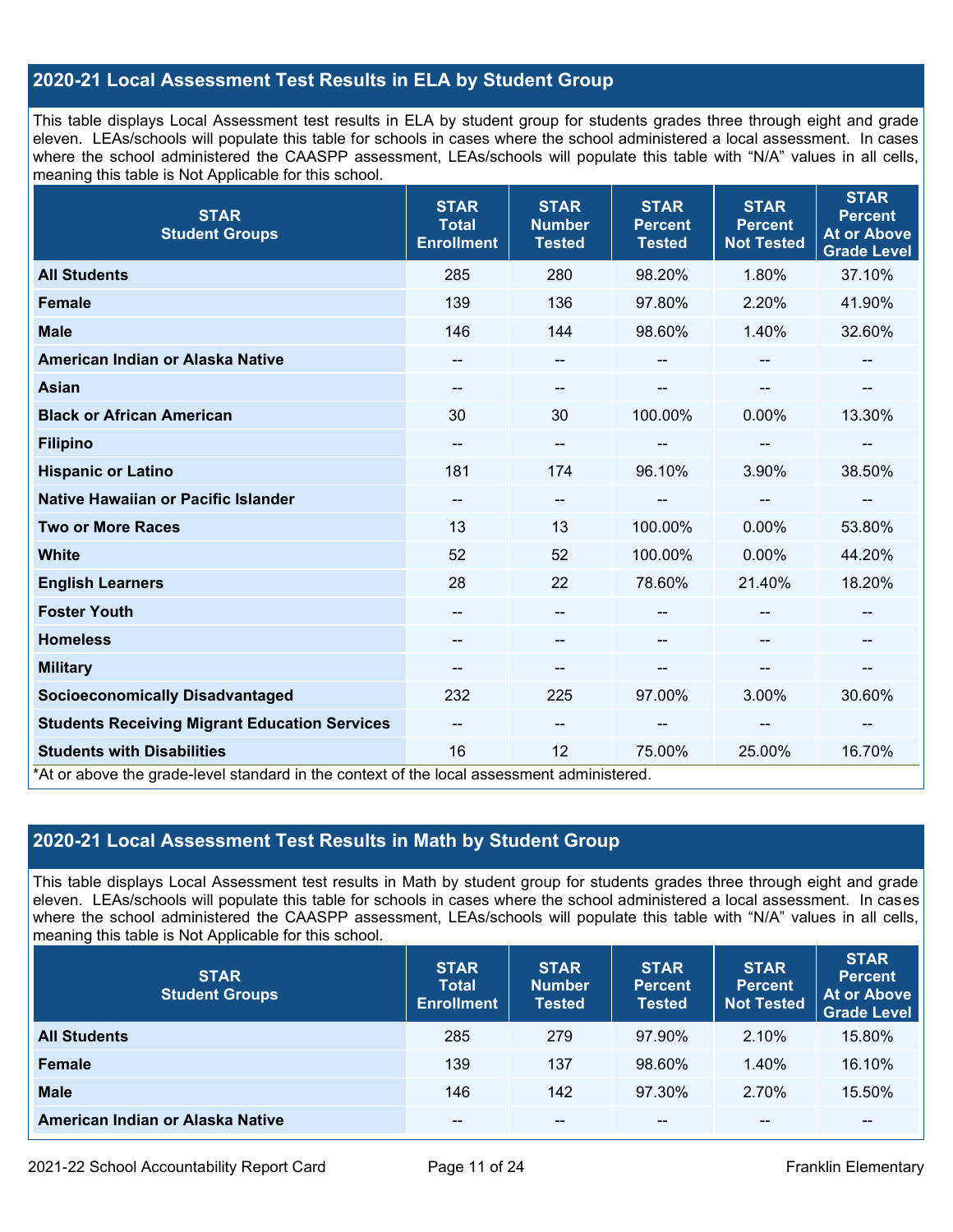## **2020-21 Local Assessment Test Results in ELA by Student Group**

This table displays Local Assessment test results in ELA by student group for students grades three through eight and grade eleven. LEAs/schools will populate this table for schools in cases where the school administered a local assessment. In cases where the school administered the CAASPP assessment, LEAs/schools will populate this table with "N/A" values in all cells, meaning this table is Not Applicable for this school.

| <b>STAR</b><br><b>Student Groups</b>                                                                                            | <b>STAR</b><br><b>Total</b><br><b>Enrollment</b> | <b>STAR</b><br><b>Number</b><br><b>Tested</b> | <b>STAR</b><br><b>Percent</b><br><b>Tested</b> | <b>STAR</b><br><b>Percent</b><br><b>Not Tested</b> | <b>STAR</b><br><b>Percent</b><br><b>At or Above</b><br><b>Grade Level</b> |
|---------------------------------------------------------------------------------------------------------------------------------|--------------------------------------------------|-----------------------------------------------|------------------------------------------------|----------------------------------------------------|---------------------------------------------------------------------------|
| <b>All Students</b>                                                                                                             | 285                                              | 280                                           | 98.20%                                         | 1.80%                                              | 37.10%                                                                    |
| <b>Female</b>                                                                                                                   | 139                                              | 136                                           | 97.80%                                         | 2.20%                                              | 41.90%                                                                    |
| <b>Male</b>                                                                                                                     | 146                                              | 144                                           | 98.60%                                         | 1.40%                                              | 32.60%                                                                    |
| American Indian or Alaska Native                                                                                                | $\overline{\phantom{m}}$                         | $\overline{\phantom{m}}$                      | --                                             |                                                    | --                                                                        |
| <b>Asian</b>                                                                                                                    | --                                               | --                                            |                                                |                                                    |                                                                           |
| <b>Black or African American</b>                                                                                                | 30                                               | 30                                            | 100.00%                                        | 0.00%                                              | 13.30%                                                                    |
| <b>Filipino</b>                                                                                                                 |                                                  | --                                            |                                                | --                                                 | --                                                                        |
| <b>Hispanic or Latino</b>                                                                                                       | 181                                              | 174                                           | 96.10%                                         | 3.90%                                              | 38.50%                                                                    |
| Native Hawaiian or Pacific Islander                                                                                             | --                                               | --                                            | --                                             |                                                    |                                                                           |
| <b>Two or More Races</b>                                                                                                        | 13                                               | 13                                            | 100.00%                                        | $0.00\%$                                           | 53.80%                                                                    |
| <b>White</b>                                                                                                                    | 52                                               | 52                                            | 100.00%                                        | 0.00%                                              | 44.20%                                                                    |
| <b>English Learners</b>                                                                                                         | 28                                               | 22                                            | 78.60%                                         | 21.40%                                             | 18.20%                                                                    |
| <b>Foster Youth</b>                                                                                                             |                                                  | --                                            |                                                |                                                    | --                                                                        |
| <b>Homeless</b>                                                                                                                 |                                                  |                                               |                                                |                                                    |                                                                           |
| <b>Military</b>                                                                                                                 | $\overline{\phantom{m}}$                         | --                                            | --                                             | --                                                 | $\overline{\phantom{a}}$                                                  |
| <b>Socioeconomically Disadvantaged</b>                                                                                          | 232                                              | 225                                           | 97.00%                                         | 3.00%                                              | 30.60%                                                                    |
| <b>Students Receiving Migrant Education Services</b>                                                                            | --                                               | $-$                                           | --                                             | --                                                 |                                                                           |
| <b>Students with Disabilities</b><br>*At or above the grade-level standard in the context of the local assessment administered. | 16                                               | 12                                            | 75.00%                                         | 25.00%                                             | 16.70%                                                                    |

## **2020-21 Local Assessment Test Results in Math by Student Group**

This table displays Local Assessment test results in Math by student group for students grades three through eight and grade eleven. LEAs/schools will populate this table for schools in cases where the school administered a local assessment. In cases where the school administered the CAASPP assessment, LEAs/schools will populate this table with "N/A" values in all cells, meaning this table is Not Applicable for this school.

| <b>STAR</b><br><b>Student Groups</b> | <b>STAR</b><br><b>Total</b><br><b>Enrollment</b> | <b>STAR</b><br><b>Number</b><br><b>Tested</b> | <b>STAR</b><br><b>Percent</b><br><b>Tested</b> | <b>STAR</b><br><b>Percent</b><br><b>Not Tested</b> | <b>STAR</b><br><b>Percent</b><br><b>At or Above</b><br><b>Grade Level</b> |
|--------------------------------------|--------------------------------------------------|-----------------------------------------------|------------------------------------------------|----------------------------------------------------|---------------------------------------------------------------------------|
| <b>All Students</b>                  | 285                                              | 279                                           | 97.90%                                         | 2.10%                                              | 15.80%                                                                    |
| <b>Female</b>                        | 139                                              | 137                                           | 98.60%                                         | 1.40%                                              | 16.10%                                                                    |
| <b>Male</b>                          | 146                                              | 142                                           | 97.30%                                         | 2.70%                                              | 15.50%                                                                    |
| American Indian or Alaska Native     | --                                               | $- -$                                         | $- -$                                          | $- -$                                              | $\overline{\phantom{m}}$                                                  |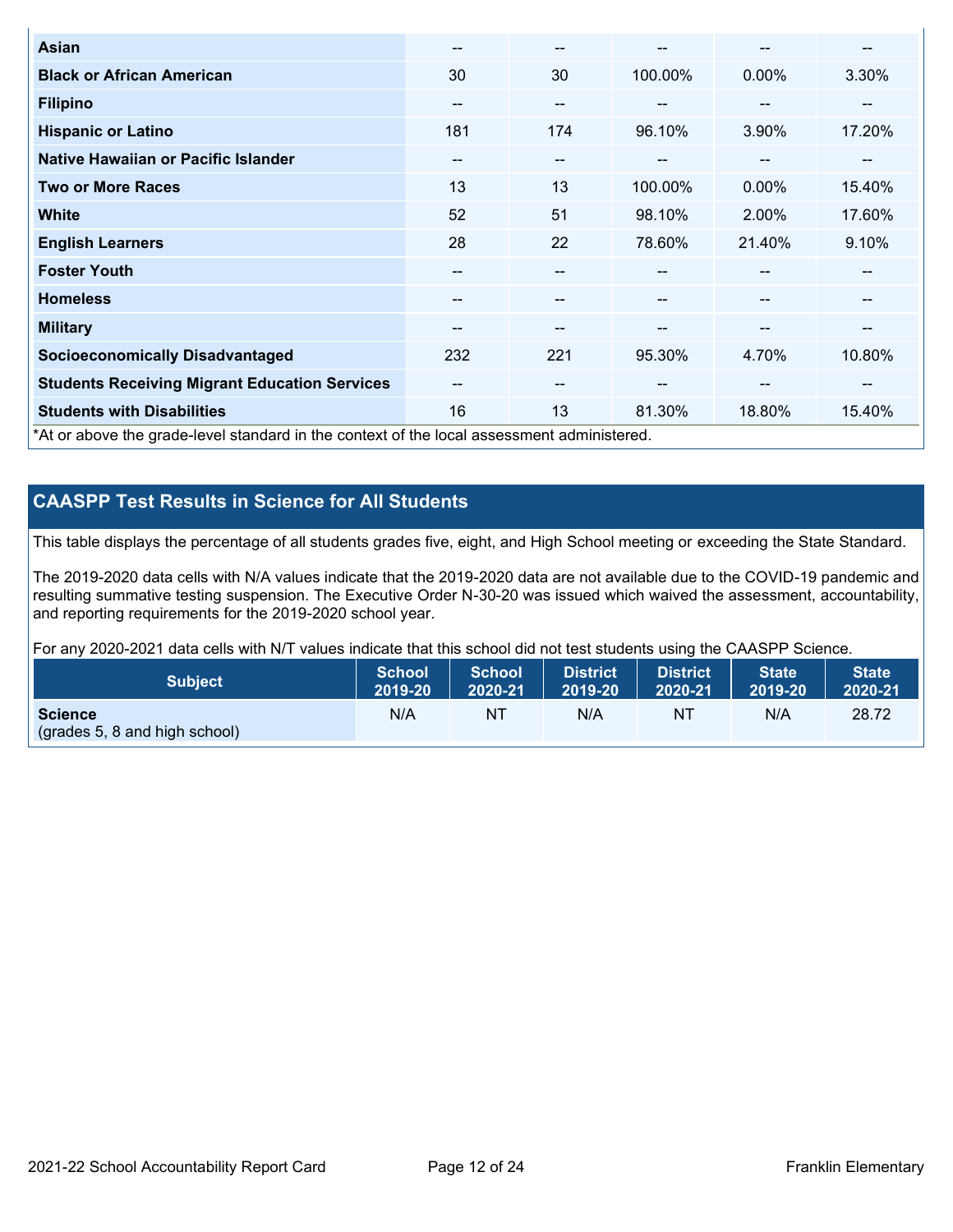| <b>Asian</b>                                                                               | --                       | $- -$ |         | --       | --     |
|--------------------------------------------------------------------------------------------|--------------------------|-------|---------|----------|--------|
| <b>Black or African American</b>                                                           | 30                       | 30    | 100.00% | $0.00\%$ | 3.30%  |
| <b>Filipino</b>                                                                            | --                       | $- -$ |         | --       |        |
| <b>Hispanic or Latino</b>                                                                  | 181                      | 174   | 96.10%  | 3.90%    | 17.20% |
| Native Hawaiian or Pacific Islander                                                        | $\overline{\phantom{m}}$ | $- -$ | $\sim$  | --       | --     |
| <b>Two or More Races</b>                                                                   | 13                       | 13    | 100.00% | $0.00\%$ | 15.40% |
| <b>White</b>                                                                               | 52                       | 51    | 98.10%  | 2.00%    | 17.60% |
| <b>English Learners</b>                                                                    | 28                       | 22    | 78.60%  | 21.40%   | 9.10%  |
| <b>Foster Youth</b>                                                                        | --                       | --    |         | --       | --     |
| <b>Homeless</b>                                                                            | --                       | --    |         | --       | --     |
| <b>Military</b>                                                                            | --                       | --    | --      | --       | --     |
| <b>Socioeconomically Disadvantaged</b>                                                     | 232                      | 221   | 95.30%  | 4.70%    | 10.80% |
| <b>Students Receiving Migrant Education Services</b>                                       | --                       | $- -$ | --      | --       | --     |
| <b>Students with Disabilities</b>                                                          | 16                       | 13    | 81.30%  | 18.80%   | 15.40% |
| *At or above the grade-level standard in the context of the local assessment administered. |                          |       |         |          |        |

## **CAASPP Test Results in Science for All Students**

This table displays the percentage of all students grades five, eight, and High School meeting or exceeding the State Standard.

The 2019-2020 data cells with N/A values indicate that the 2019-2020 data are not available due to the COVID-19 pandemic and resulting summative testing suspension. The Executive Order N-30-20 was issued which waived the assessment, accountability, and reporting requirements for the 2019-2020 school year.

For any 2020-2021 data cells with N/T values indicate that this school did not test students using the CAASPP Science.

| <b>Subject</b>                                           | <b>School</b> | <b>School</b> | <b>District</b> | District | <b>State</b> | <b>State</b> |
|----------------------------------------------------------|---------------|---------------|-----------------|----------|--------------|--------------|
|                                                          | 2019-20       | 2020-21       | 2019-20         | 2020-21  | 2019-20      | 2020-21      |
| <b>Science</b><br>$\left($ (grades 5, 8 and high school) | N/A           | NT            | N/A             | NT       | N/A          | 28.72        |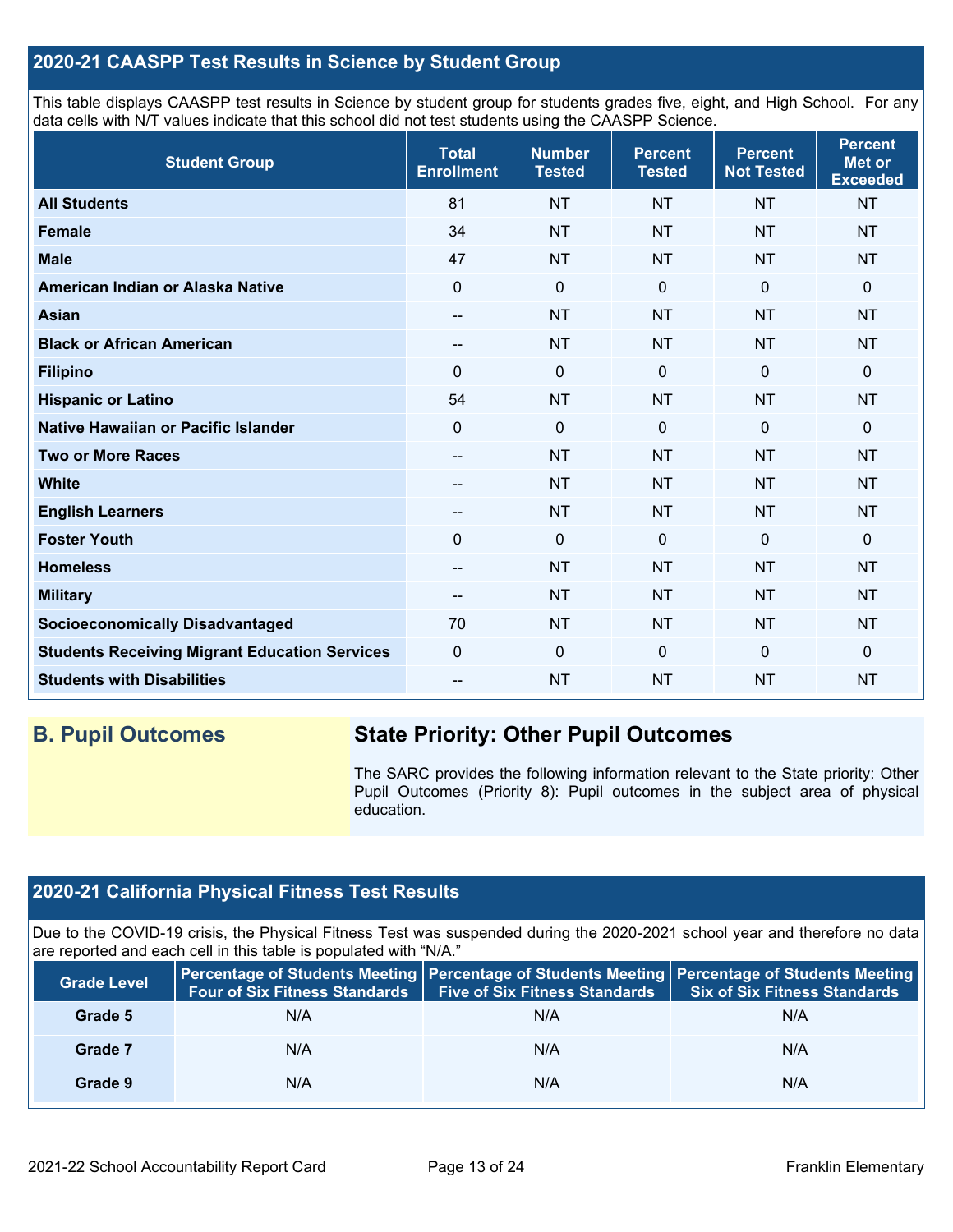## **2020-21 CAASPP Test Results in Science by Student Group**

This table displays CAASPP test results in Science by student group for students grades five, eight, and High School. For any data cells with N/T values indicate that this school did not test students using the CAASPP Science.

| <b>Student Group</b>                                 | <b>Total</b><br><b>Enrollment</b> | <b>Number</b><br><b>Tested</b> | <b>Percent</b><br><b>Tested</b> | <b>Percent</b><br><b>Not Tested</b> | <b>Percent</b><br><b>Met or</b><br><b>Exceeded</b> |
|------------------------------------------------------|-----------------------------------|--------------------------------|---------------------------------|-------------------------------------|----------------------------------------------------|
| <b>All Students</b>                                  | 81                                | <b>NT</b>                      | <b>NT</b>                       | <b>NT</b>                           | <b>NT</b>                                          |
| <b>Female</b>                                        | 34                                | <b>NT</b>                      | <b>NT</b>                       | <b>NT</b>                           | <b>NT</b>                                          |
| <b>Male</b>                                          | 47                                | <b>NT</b>                      | <b>NT</b>                       | <b>NT</b>                           | <b>NT</b>                                          |
| American Indian or Alaska Native                     | 0                                 | $\mathbf 0$                    | $\mathbf 0$                     | $\mathbf 0$                         | 0                                                  |
| <b>Asian</b>                                         | --                                | <b>NT</b>                      | <b>NT</b>                       | <b>NT</b>                           | <b>NT</b>                                          |
| <b>Black or African American</b>                     | --                                | <b>NT</b>                      | <b>NT</b>                       | <b>NT</b>                           | <b>NT</b>                                          |
| <b>Filipino</b>                                      | $\Omega$                          | $\pmb{0}$                      | $\mathbf 0$                     | 0                                   | 0                                                  |
| <b>Hispanic or Latino</b>                            | 54                                | <b>NT</b>                      | <b>NT</b>                       | <b>NT</b>                           | <b>NT</b>                                          |
| Native Hawaiian or Pacific Islander                  | $\mathbf 0$                       | $\mathbf 0$                    | $\mathbf{0}$                    | $\overline{0}$                      | 0                                                  |
| <b>Two or More Races</b>                             | --                                | <b>NT</b>                      | <b>NT</b>                       | <b>NT</b>                           | <b>NT</b>                                          |
| <b>White</b>                                         | --                                | <b>NT</b>                      | <b>NT</b>                       | <b>NT</b>                           | <b>NT</b>                                          |
| <b>English Learners</b>                              | --                                | <b>NT</b>                      | <b>NT</b>                       | <b>NT</b>                           | <b>NT</b>                                          |
| <b>Foster Youth</b>                                  | $\mathbf 0$                       | $\mathbf 0$                    | $\mathbf 0$                     | $\mathbf 0$                         | 0                                                  |
| <b>Homeless</b>                                      | --                                | <b>NT</b>                      | <b>NT</b>                       | <b>NT</b>                           | <b>NT</b>                                          |
| <b>Military</b>                                      | --                                | <b>NT</b>                      | <b>NT</b>                       | <b>NT</b>                           | <b>NT</b>                                          |
| <b>Socioeconomically Disadvantaged</b>               | 70                                | <b>NT</b>                      | <b>NT</b>                       | <b>NT</b>                           | <b>NT</b>                                          |
| <b>Students Receiving Migrant Education Services</b> | $\mathbf 0$                       | $\mathbf 0$                    | $\mathbf 0$                     | $\overline{0}$                      | 0                                                  |
| <b>Students with Disabilities</b>                    | --                                | <b>NT</b>                      | <b>NT</b>                       | <b>NT</b>                           | <b>NT</b>                                          |

## **B. Pupil Outcomes State Priority: Other Pupil Outcomes**

The SARC provides the following information relevant to the State priority: Other Pupil Outcomes (Priority 8): Pupil outcomes in the subject area of physical education.

## **2020-21 California Physical Fitness Test Results**

Due to the COVID-19 crisis, the Physical Fitness Test was suspended during the 2020-2021 school year and therefore no data are reported and each cell in this table is populated with "N/A."

| <b>Grade Level</b> | Four of Six Fitness Standards | <b>Five of Six Fitness Standards</b> | Percentage of Students Meeting   Percentage of Students Meeting   Percentage of Students Meeting<br><b>Six of Six Fitness Standards</b> |
|--------------------|-------------------------------|--------------------------------------|-----------------------------------------------------------------------------------------------------------------------------------------|
| Grade 5            | N/A                           | N/A                                  | N/A                                                                                                                                     |
| Grade 7            | N/A                           | N/A                                  | N/A                                                                                                                                     |
| Grade 9            | N/A                           | N/A                                  | N/A                                                                                                                                     |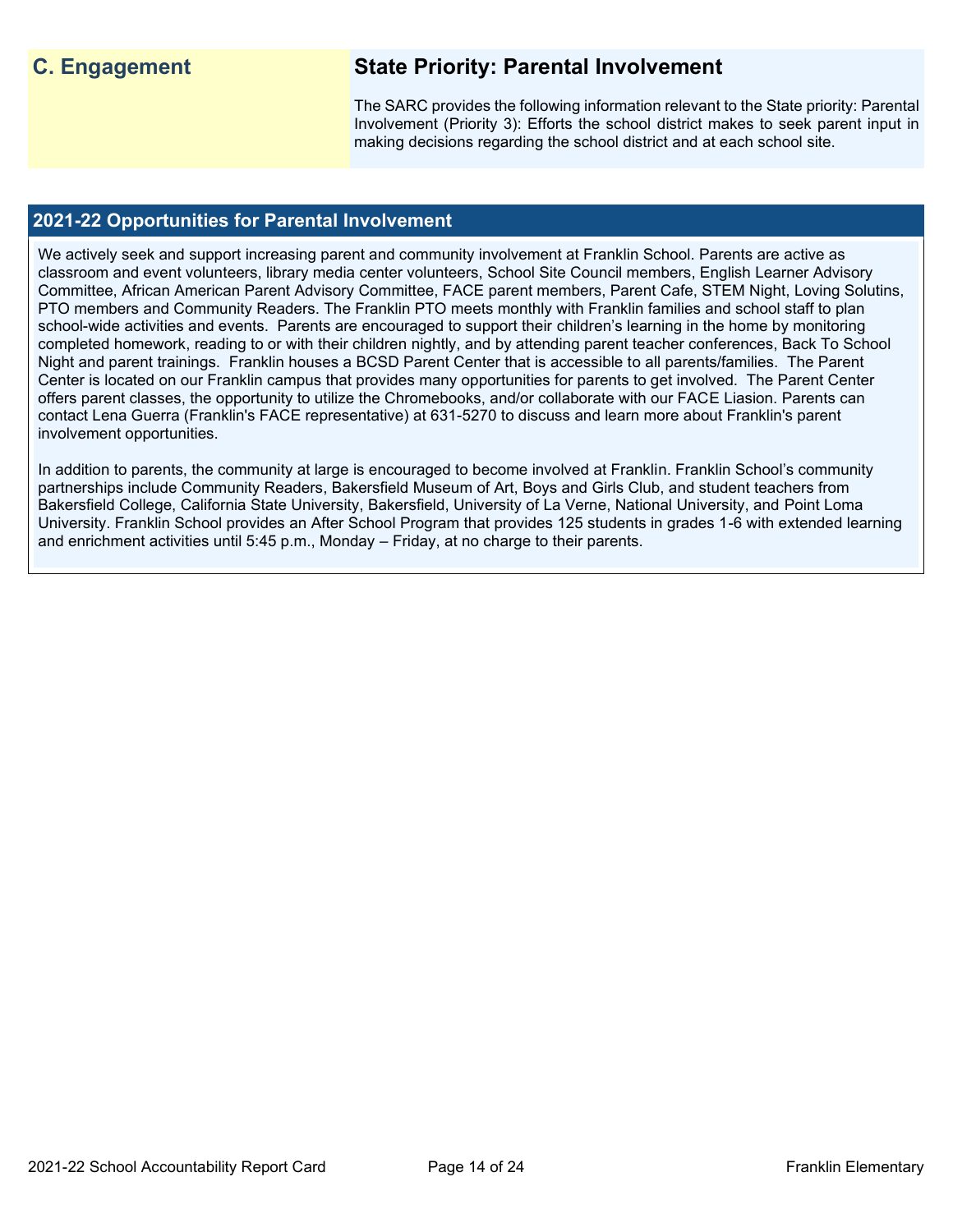## **C. Engagement State Priority: Parental Involvement**

The SARC provides the following information relevant to the State priority: Parental Involvement (Priority 3): Efforts the school district makes to seek parent input in making decisions regarding the school district and at each school site.

## **2021-22 Opportunities for Parental Involvement**

We actively seek and support increasing parent and community involvement at Franklin School. Parents are active as classroom and event volunteers, library media center volunteers, School Site Council members, English Learner Advisory Committee, African American Parent Advisory Committee, FACE parent members, Parent Cafe, STEM Night, Loving Solutins, PTO members and Community Readers. The Franklin PTO meets monthly with Franklin families and school staff to plan school-wide activities and events. Parents are encouraged to support their children's learning in the home by monitoring completed homework, reading to or with their children nightly, and by attending parent teacher conferences, Back To School Night and parent trainings. Franklin houses a BCSD Parent Center that is accessible to all parents/families. The Parent Center is located on our Franklin campus that provides many opportunities for parents to get involved. The Parent Center offers parent classes, the opportunity to utilize the Chromebooks, and/or collaborate with our FACE Liasion. Parents can contact Lena Guerra (Franklin's FACE representative) at 631-5270 to discuss and learn more about Franklin's parent involvement opportunities.

In addition to parents, the community at large is encouraged to become involved at Franklin. Franklin School's community partnerships include Community Readers, Bakersfield Museum of Art, Boys and Girls Club, and student teachers from Bakersfield College, California State University, Bakersfield, University of La Verne, National University, and Point Loma University. Franklin School provides an After School Program that provides 125 students in grades 1-6 with extended learning and enrichment activities until 5:45 p.m., Monday – Friday, at no charge to their parents.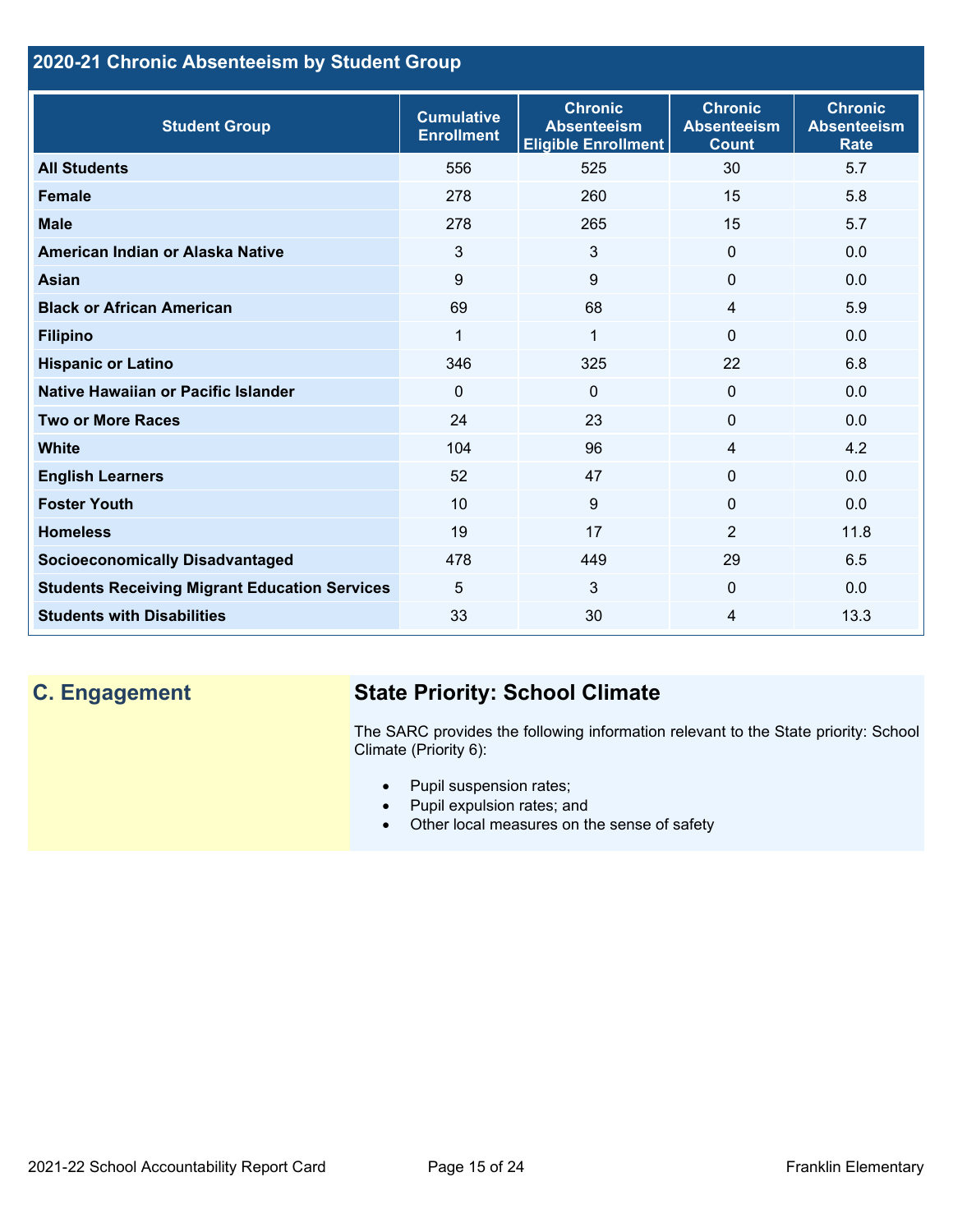## **2020-21 Chronic Absenteeism by Student Group**

| <b>Student Group</b>                                 | <b>Cumulative</b><br><b>Enrollment</b> | <b>Chronic</b><br><b>Absenteeism</b><br><b>Eligible Enrollment</b> | <b>Chronic</b><br><b>Absenteeism</b><br><b>Count</b> | <b>Chronic</b><br><b>Absenteeism</b><br><b>Rate</b> |
|------------------------------------------------------|----------------------------------------|--------------------------------------------------------------------|------------------------------------------------------|-----------------------------------------------------|
| <b>All Students</b>                                  | 556                                    | 525                                                                | 30                                                   | 5.7                                                 |
| <b>Female</b>                                        | 278                                    | 260                                                                | 15                                                   | 5.8                                                 |
| <b>Male</b>                                          | 278                                    | 265                                                                | 15                                                   | 5.7                                                 |
| American Indian or Alaska Native                     | 3                                      | 3                                                                  | $\mathbf{0}$                                         | 0.0                                                 |
| <b>Asian</b>                                         | 9                                      | 9                                                                  | $\mathbf 0$                                          | 0.0                                                 |
| <b>Black or African American</b>                     | 69                                     | 68                                                                 | $\overline{4}$                                       | 5.9                                                 |
| <b>Filipino</b>                                      | 1                                      | $\mathbf{1}$                                                       | $\mathbf{0}$                                         | 0.0                                                 |
| <b>Hispanic or Latino</b>                            | 346                                    | 325                                                                | 22                                                   | 6.8                                                 |
| Native Hawaiian or Pacific Islander                  | $\Omega$                               | $\mathbf 0$                                                        | $\mathbf 0$                                          | 0.0                                                 |
| <b>Two or More Races</b>                             | 24                                     | 23                                                                 | $\mathbf{0}$                                         | 0.0                                                 |
| <b>White</b>                                         | 104                                    | 96                                                                 | 4                                                    | 4.2                                                 |
| <b>English Learners</b>                              | 52                                     | 47                                                                 | $\Omega$                                             | 0.0                                                 |
| <b>Foster Youth</b>                                  | 10                                     | 9                                                                  | $\Omega$                                             | 0.0                                                 |
| <b>Homeless</b>                                      | 19                                     | 17                                                                 | $\overline{2}$                                       | 11.8                                                |
| <b>Socioeconomically Disadvantaged</b>               | 478                                    | 449                                                                | 29                                                   | 6.5                                                 |
| <b>Students Receiving Migrant Education Services</b> | 5                                      | 3                                                                  | $\mathbf{0}$                                         | 0.0                                                 |
| <b>Students with Disabilities</b>                    | 33                                     | 30                                                                 | 4                                                    | 13.3                                                |

# **C. Engagement State Priority: School Climate**

The SARC provides the following information relevant to the State priority: School Climate (Priority 6):

- Pupil suspension rates;
- Pupil expulsion rates; and
- Other local measures on the sense of safety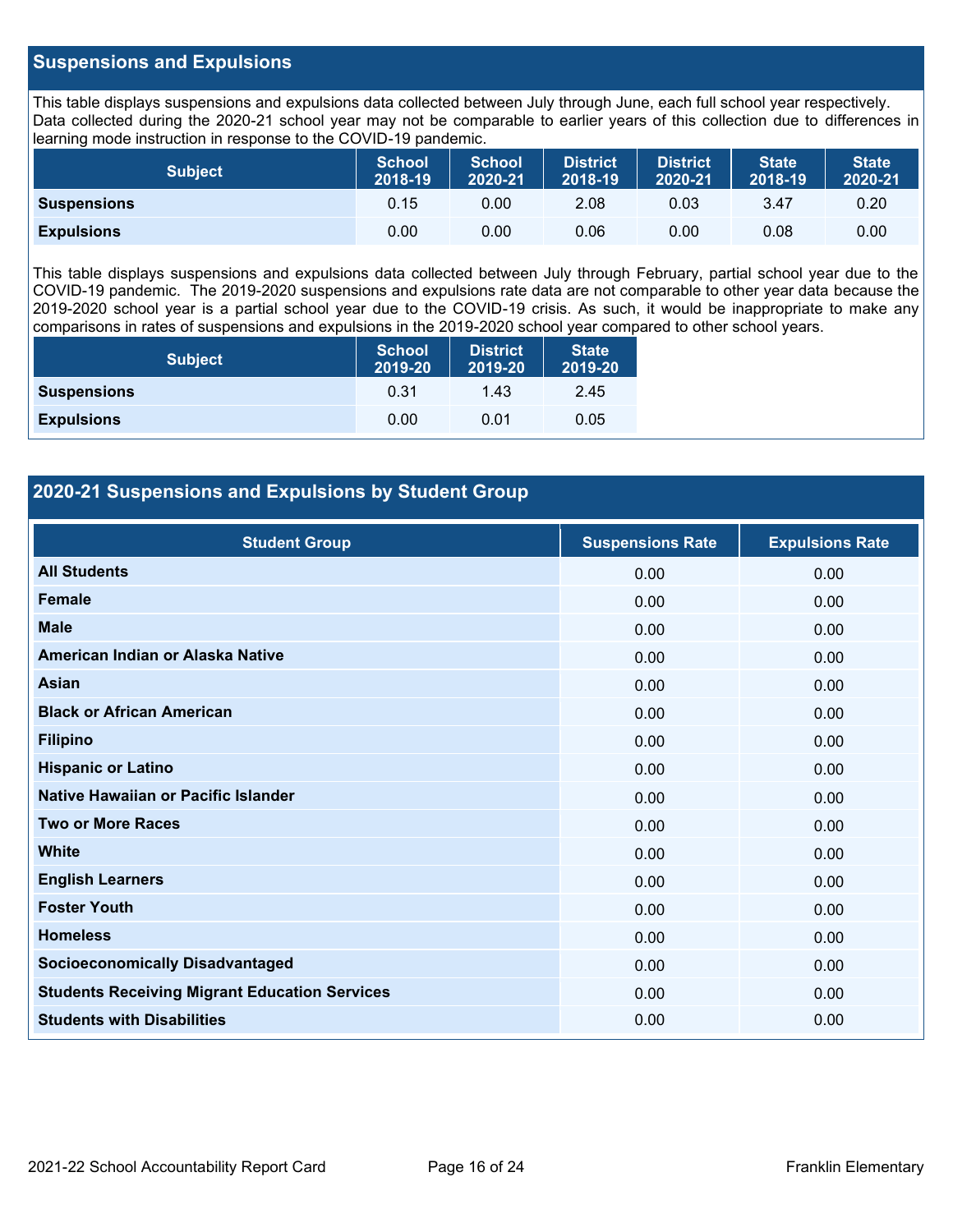## **Suspensions and Expulsions**

This table displays suspensions and expulsions data collected between July through June, each full school year respectively. Data collected during the 2020-21 school year may not be comparable to earlier years of this collection due to differences in learning mode instruction in response to the COVID-19 pandemic.

| <b>Subject</b>     | <b>School</b><br>2018-19 | <b>School</b><br>2020-21 | <b>District</b><br>2018-19 | <b>District</b><br>2020-21 | <b>State</b><br>2018-19 | <b>State</b><br>2020-21 |
|--------------------|--------------------------|--------------------------|----------------------------|----------------------------|-------------------------|-------------------------|
| <b>Suspensions</b> | 0.15                     | 0.00                     | 2.08                       | 0.03                       | 3.47                    | 0.20                    |
| <b>Expulsions</b>  | 0.00                     | 0.00                     | 0.06                       | 0.00                       | 0.08                    | 0.00                    |

This table displays suspensions and expulsions data collected between July through February, partial school year due to the COVID-19 pandemic. The 2019-2020 suspensions and expulsions rate data are not comparable to other year data because the 2019-2020 school year is a partial school year due to the COVID-19 crisis. As such, it would be inappropriate to make any comparisons in rates of suspensions and expulsions in the 2019-2020 school year compared to other school years.

| <b>Subject</b>     | <b>School</b><br>2019-20 | <b>District</b><br>2019-20 | <b>State</b><br>2019-20 |
|--------------------|--------------------------|----------------------------|-------------------------|
| <b>Suspensions</b> | 0.31                     | 1.43                       | 2.45                    |
| <b>Expulsions</b>  | 0.00                     | 0.01                       | 0.05                    |

## **2020-21 Suspensions and Expulsions by Student Group**

| <b>Student Group</b>                                 | <b>Suspensions Rate</b> | <b>Expulsions Rate</b> |
|------------------------------------------------------|-------------------------|------------------------|
| <b>All Students</b>                                  | 0.00                    | 0.00                   |
| <b>Female</b>                                        | 0.00                    | 0.00                   |
| <b>Male</b>                                          | 0.00                    | 0.00                   |
| American Indian or Alaska Native                     | 0.00                    | 0.00                   |
| Asian                                                | 0.00                    | 0.00                   |
| <b>Black or African American</b>                     | 0.00                    | 0.00                   |
| <b>Filipino</b>                                      | 0.00                    | 0.00                   |
| <b>Hispanic or Latino</b>                            | 0.00                    | 0.00                   |
| Native Hawaiian or Pacific Islander                  | 0.00                    | 0.00                   |
| <b>Two or More Races</b>                             | 0.00                    | 0.00                   |
| <b>White</b>                                         | 0.00                    | 0.00                   |
| <b>English Learners</b>                              | 0.00                    | 0.00                   |
| <b>Foster Youth</b>                                  | 0.00                    | 0.00                   |
| <b>Homeless</b>                                      | 0.00                    | 0.00                   |
| <b>Socioeconomically Disadvantaged</b>               | 0.00                    | 0.00                   |
| <b>Students Receiving Migrant Education Services</b> | 0.00                    | 0.00                   |
| <b>Students with Disabilities</b>                    | 0.00                    | 0.00                   |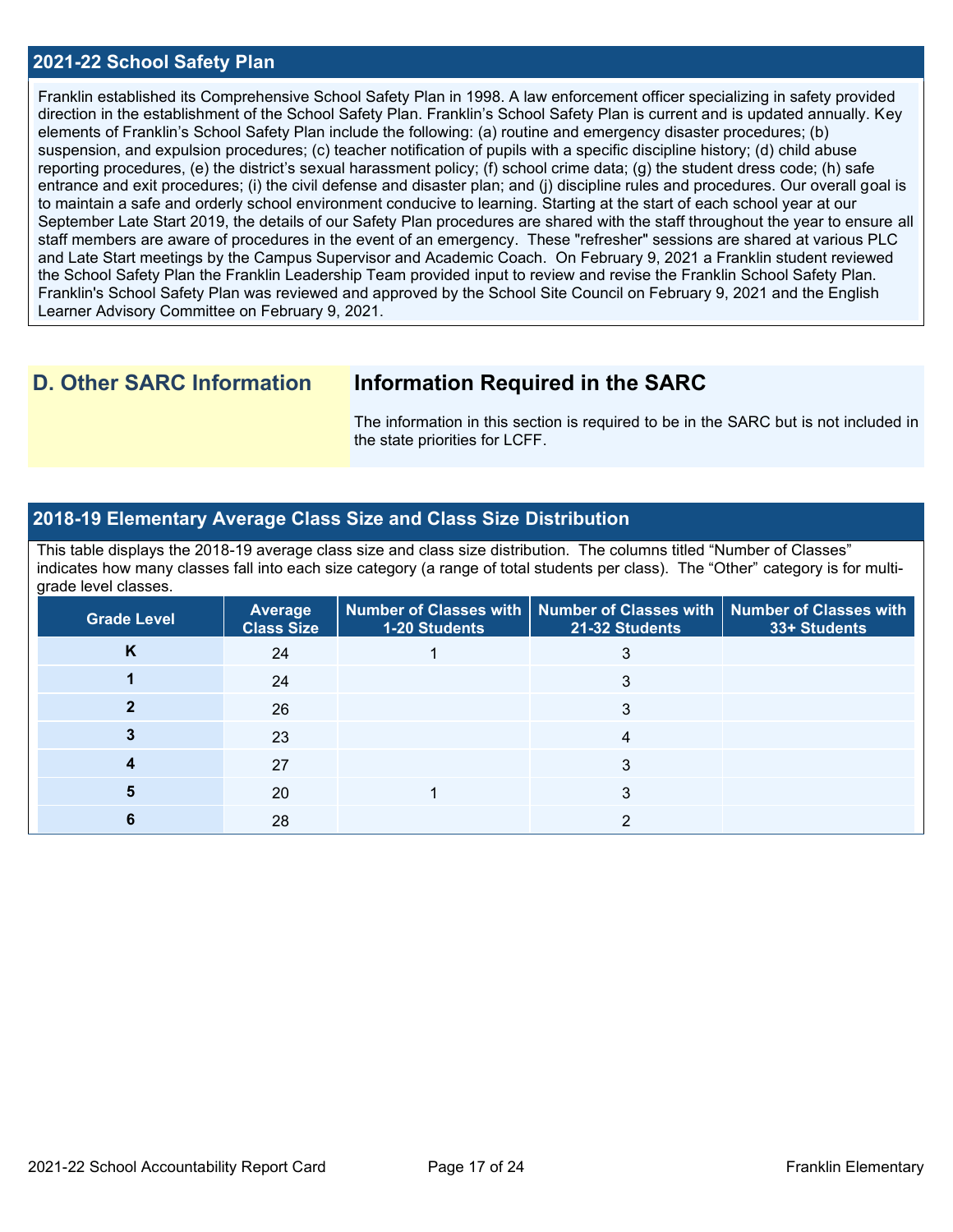### **2021-22 School Safety Plan**

Franklin established its Comprehensive School Safety Plan in 1998. A law enforcement officer specializing in safety provided direction in the establishment of the School Safety Plan. Franklin's School Safety Plan is current and is updated annually. Key elements of Franklin's School Safety Plan include the following: (a) routine and emergency disaster procedures; (b) suspension, and expulsion procedures; (c) teacher notification of pupils with a specific discipline history; (d) child abuse reporting procedures, (e) the district's sexual harassment policy; (f) school crime data; (g) the student dress code; (h) safe entrance and exit procedures; (i) the civil defense and disaster plan; and (j) discipline rules and procedures. Our overall goal is to maintain a safe and orderly school environment conducive to learning. Starting at the start of each school year at our September Late Start 2019, the details of our Safety Plan procedures are shared with the staff throughout the year to ensure all staff members are aware of procedures in the event of an emergency. These "refresher" sessions are shared at various PLC and Late Start meetings by the Campus Supervisor and Academic Coach. On February 9, 2021 a Franklin student reviewed the School Safety Plan the Franklin Leadership Team provided input to review and revise the Franklin School Safety Plan. Franklin's School Safety Plan was reviewed and approved by the School Site Council on February 9, 2021 and the English Learner Advisory Committee on February 9, 2021.

## **D. Other SARC Information Information Required in the SARC**

The information in this section is required to be in the SARC but is not included in the state priorities for LCFF.

#### **2018-19 Elementary Average Class Size and Class Size Distribution**

This table displays the 2018-19 average class size and class size distribution. The columns titled "Number of Classes" indicates how many classes fall into each size category (a range of total students per class). The "Other" category is for multigrade level classes.

| <b>Grade Level</b> | <b>Average</b><br><b>Class Size</b> | <b>1-20 Students</b> | Number of Classes with   Number of Classes with   Number of Classes with<br>21-32 Students | 33+ Students |
|--------------------|-------------------------------------|----------------------|--------------------------------------------------------------------------------------------|--------------|
| Κ                  | 24                                  |                      |                                                                                            |              |
|                    | 24                                  |                      |                                                                                            |              |
|                    | 26                                  |                      | 3                                                                                          |              |
|                    | 23                                  |                      |                                                                                            |              |
|                    | 27                                  |                      |                                                                                            |              |
|                    | 20                                  |                      | 3                                                                                          |              |
|                    | 28                                  |                      |                                                                                            |              |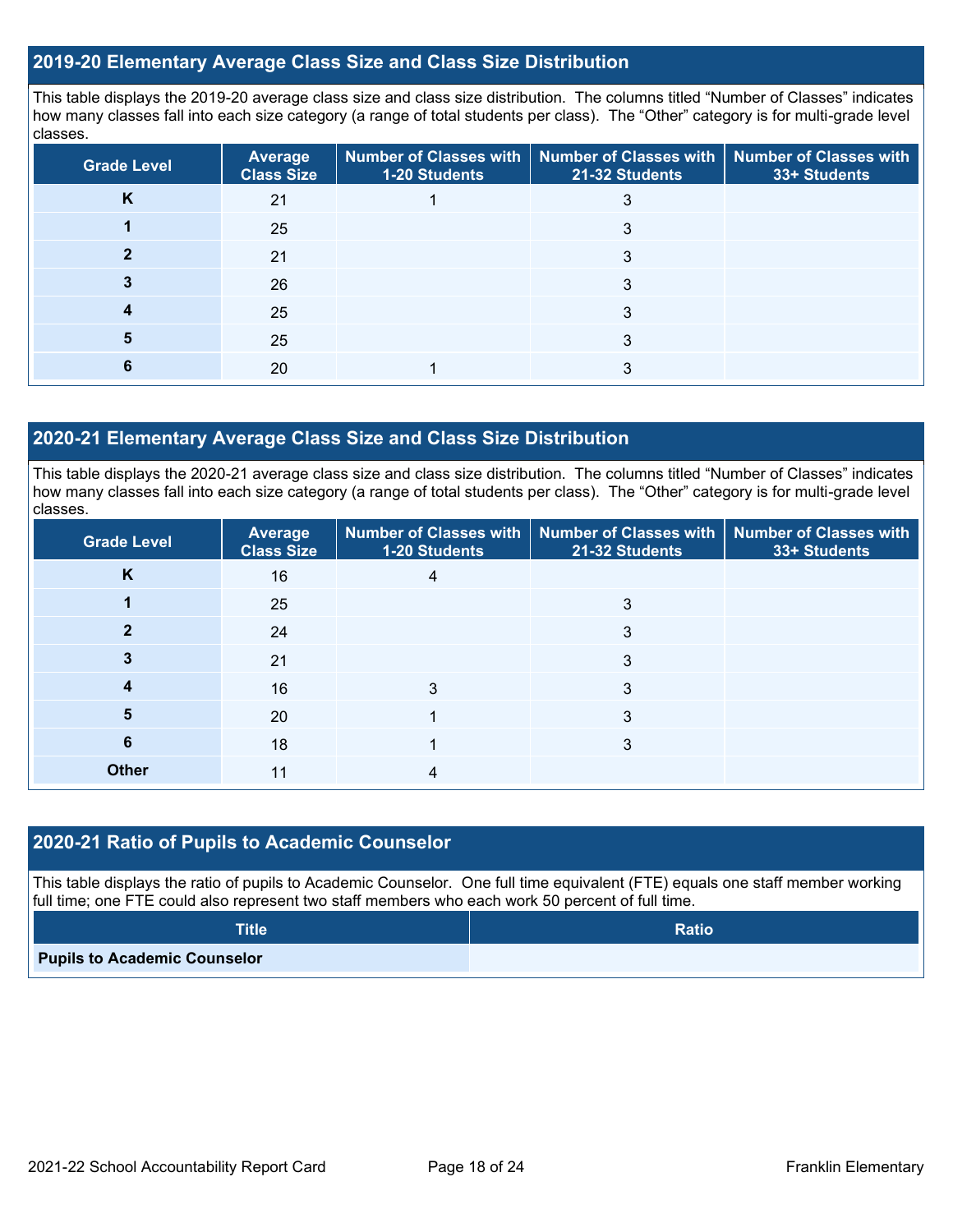### **2019-20 Elementary Average Class Size and Class Size Distribution**

This table displays the 2019-20 average class size and class size distribution. The columns titled "Number of Classes" indicates how many classes fall into each size category (a range of total students per class). The "Other" category is for multi-grade level classes.

| <b>Grade Level</b> | <b>Average</b><br><b>Class Size</b> | <b>1-20 Students</b> | Number of Classes with   Number of Classes with   Number of Classes with<br>21-32 Students | 33+ Students |
|--------------------|-------------------------------------|----------------------|--------------------------------------------------------------------------------------------|--------------|
| n                  | 21                                  |                      |                                                                                            |              |
|                    | 25                                  |                      | 3                                                                                          |              |
|                    | 21                                  |                      |                                                                                            |              |
|                    | 26                                  |                      | 3                                                                                          |              |
|                    | 25                                  |                      | 3                                                                                          |              |
|                    | 25                                  |                      |                                                                                            |              |
|                    | 20                                  |                      |                                                                                            |              |

## **2020-21 Elementary Average Class Size and Class Size Distribution**

This table displays the 2020-21 average class size and class size distribution. The columns titled "Number of Classes" indicates how many classes fall into each size category (a range of total students per class). The "Other" category is for multi-grade level classes.

| <b>Grade Level</b> | Average<br><b>Class Size</b> | 1-20 Students | Number of Classes with   Number of Classes with   Number of Classes with<br>21-32 Students | 33+ Students |
|--------------------|------------------------------|---------------|--------------------------------------------------------------------------------------------|--------------|
| K                  | 16                           | 4             |                                                                                            |              |
|                    | 25                           |               | 3                                                                                          |              |
|                    | 24                           |               | 3                                                                                          |              |
|                    | 21                           |               | 3                                                                                          |              |
| 4                  | 16                           |               | 3                                                                                          |              |
| 5                  | 20                           |               | 3                                                                                          |              |
| 6                  | 18                           |               | 3                                                                                          |              |
| <b>Other</b>       | 11                           |               |                                                                                            |              |

## **2020-21 Ratio of Pupils to Academic Counselor**

This table displays the ratio of pupils to Academic Counselor. One full time equivalent (FTE) equals one staff member working full time; one FTE could also represent two staff members who each work 50 percent of full time.

| <b>Title</b>                        | <b>Ratio</b> |
|-------------------------------------|--------------|
| <b>Pupils to Academic Counselor</b> |              |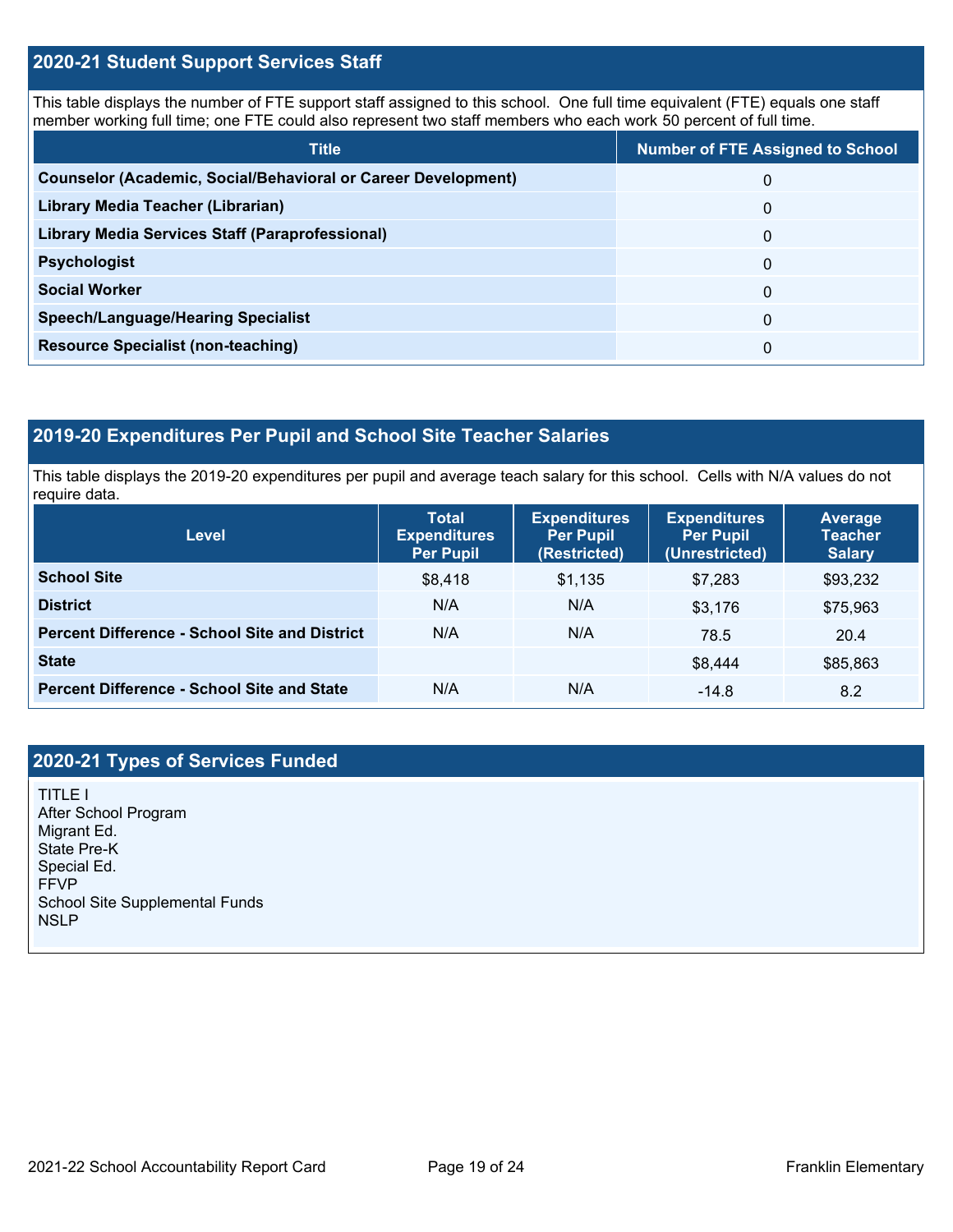## **2020-21 Student Support Services Staff**

This table displays the number of FTE support staff assigned to this school. One full time equivalent (FTE) equals one staff member working full time; one FTE could also represent two staff members who each work 50 percent of full time.

| <b>Title</b>                                                         | <b>Number of FTE Assigned to School</b> |
|----------------------------------------------------------------------|-----------------------------------------|
| <b>Counselor (Academic, Social/Behavioral or Career Development)</b> | 0                                       |
| Library Media Teacher (Librarian)                                    | 0                                       |
| Library Media Services Staff (Paraprofessional)                      | 0                                       |
| <b>Psychologist</b>                                                  | 0                                       |
| <b>Social Worker</b>                                                 | $\Omega$                                |
| <b>Speech/Language/Hearing Specialist</b>                            | 0                                       |
| <b>Resource Specialist (non-teaching)</b>                            | 0                                       |

## **2019-20 Expenditures Per Pupil and School Site Teacher Salaries**

This table displays the 2019-20 expenditures per pupil and average teach salary for this school. Cells with N/A values do not require data.

| <b>Level</b>                                         | <b>Total</b><br><b>Expenditures</b><br><b>Per Pupil</b> | <b>Expenditures</b><br><b>Per Pupil</b><br>(Restricted) | <b>Expenditures</b><br><b>Per Pupil</b><br>(Unrestricted) | <b>Average</b><br><b>Teacher</b><br><b>Salary</b> |
|------------------------------------------------------|---------------------------------------------------------|---------------------------------------------------------|-----------------------------------------------------------|---------------------------------------------------|
| <b>School Site</b>                                   | \$8,418                                                 | \$1.135                                                 | \$7.283                                                   | \$93,232                                          |
| <b>District</b>                                      | N/A                                                     | N/A                                                     | \$3,176                                                   | \$75,963                                          |
| <b>Percent Difference - School Site and District</b> | N/A                                                     | N/A                                                     | 78.5                                                      | 20.4                                              |
| <b>State</b>                                         |                                                         |                                                         | \$8,444                                                   | \$85,863                                          |
| <b>Percent Difference - School Site and State</b>    | N/A                                                     | N/A                                                     | $-14.8$                                                   | 8.2                                               |

## **2020-21 Types of Services Funded**

TITLE I After School Program Migrant Ed. State Pre-K Special Ed. FFVP School Site Supplemental Funds **NSLP**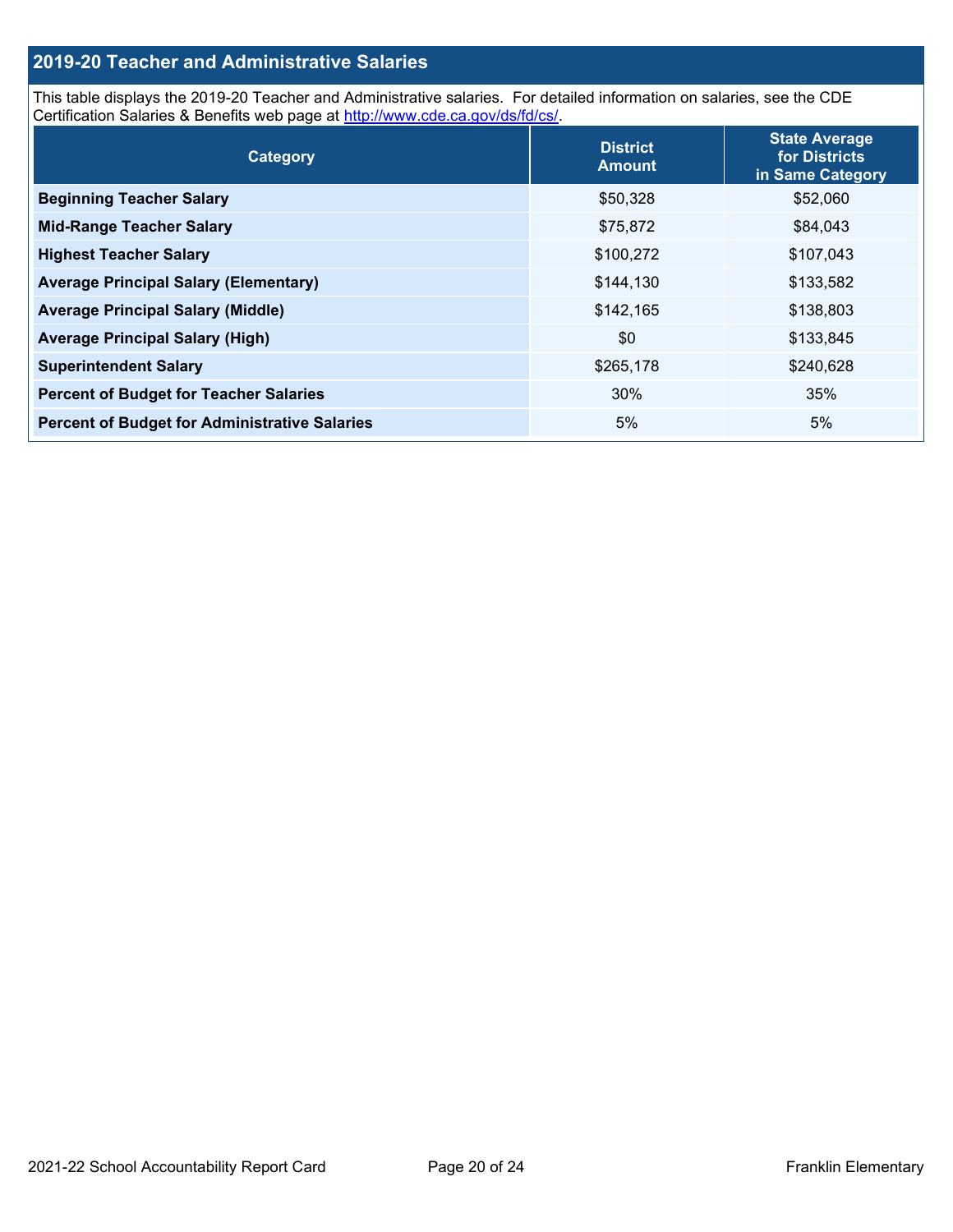## **2019-20 Teacher and Administrative Salaries**

This table displays the 2019-20 Teacher and Administrative salaries. For detailed information on salaries, see the CDE Certification Salaries & Benefits web page at [http://www.cde.ca.gov/ds/fd/cs/.](http://www.cde.ca.gov/ds/fd/cs/)

| Category                                             | <b>District</b><br><b>Amount</b> | <b>State Average</b><br>for Districts<br>in Same Category |
|------------------------------------------------------|----------------------------------|-----------------------------------------------------------|
| <b>Beginning Teacher Salary</b>                      | \$50,328                         | \$52,060                                                  |
| <b>Mid-Range Teacher Salary</b>                      | \$75,872                         | \$84,043                                                  |
| <b>Highest Teacher Salary</b>                        | \$100,272                        | \$107,043                                                 |
| <b>Average Principal Salary (Elementary)</b>         | \$144,130                        | \$133,582                                                 |
| <b>Average Principal Salary (Middle)</b>             | \$142,165                        | \$138,803                                                 |
| <b>Average Principal Salary (High)</b>               | \$0                              | \$133,845                                                 |
| <b>Superintendent Salary</b>                         | \$265,178                        | \$240,628                                                 |
| <b>Percent of Budget for Teacher Salaries</b>        | 30%                              | 35%                                                       |
| <b>Percent of Budget for Administrative Salaries</b> | 5%                               | 5%                                                        |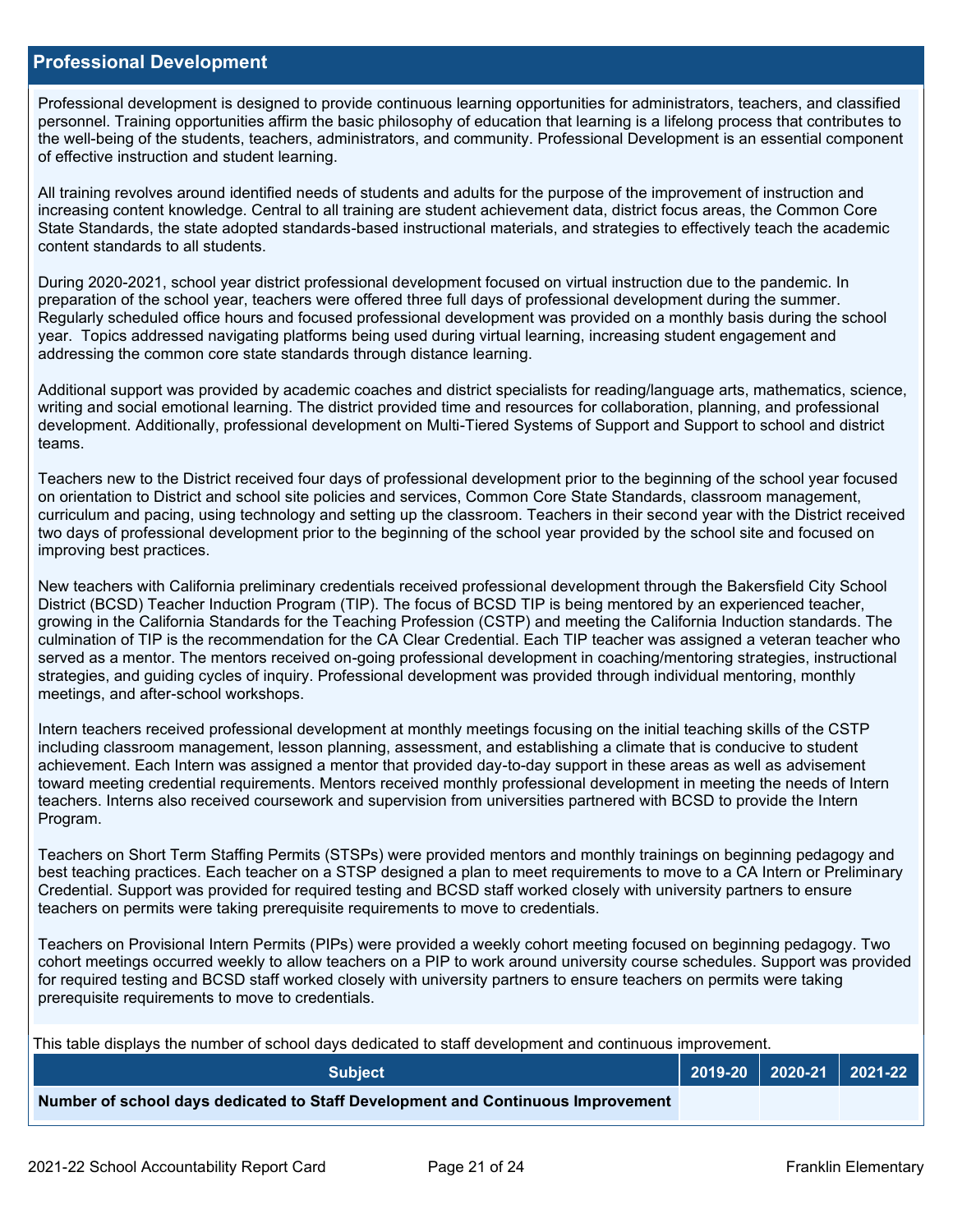#### **Professional Development**

Professional development is designed to provide continuous learning opportunities for administrators, teachers, and classified personnel. Training opportunities affirm the basic philosophy of education that learning is a lifelong process that contributes to the well-being of the students, teachers, administrators, and community. Professional Development is an essential component of effective instruction and student learning.

All training revolves around identified needs of students and adults for the purpose of the improvement of instruction and increasing content knowledge. Central to all training are student achievement data, district focus areas, the Common Core State Standards, the state adopted standards-based instructional materials, and strategies to effectively teach the academic content standards to all students.

During 2020-2021, school year district professional development focused on virtual instruction due to the pandemic. In preparation of the school year, teachers were offered three full days of professional development during the summer. Regularly scheduled office hours and focused professional development was provided on a monthly basis during the school year. Topics addressed navigating platforms being used during virtual learning, increasing student engagement and addressing the common core state standards through distance learning.

Additional support was provided by academic coaches and district specialists for reading/language arts, mathematics, science, writing and social emotional learning. The district provided time and resources for collaboration, planning, and professional development. Additionally, professional development on Multi-Tiered Systems of Support and Support to school and district teams.

Teachers new to the District received four days of professional development prior to the beginning of the school year focused on orientation to District and school site policies and services, Common Core State Standards, classroom management, curriculum and pacing, using technology and setting up the classroom. Teachers in their second year with the District received two days of professional development prior to the beginning of the school year provided by the school site and focused on improving best practices.

New teachers with California preliminary credentials received professional development through the Bakersfield City School District (BCSD) Teacher Induction Program (TIP). The focus of BCSD TIP is being mentored by an experienced teacher, growing in the California Standards for the Teaching Profession (CSTP) and meeting the California Induction standards. The culmination of TIP is the recommendation for the CA Clear Credential. Each TIP teacher was assigned a veteran teacher who served as a mentor. The mentors received on-going professional development in coaching/mentoring strategies, instructional strategies, and guiding cycles of inquiry. Professional development was provided through individual mentoring, monthly meetings, and after-school workshops.

Intern teachers received professional development at monthly meetings focusing on the initial teaching skills of the CSTP including classroom management, lesson planning, assessment, and establishing a climate that is conducive to student achievement. Each Intern was assigned a mentor that provided day-to-day support in these areas as well as advisement toward meeting credential requirements. Mentors received monthly professional development in meeting the needs of Intern teachers. Interns also received coursework and supervision from universities partnered with BCSD to provide the Intern Program.

Teachers on Short Term Staffing Permits (STSPs) were provided mentors and monthly trainings on beginning pedagogy and best teaching practices. Each teacher on a STSP designed a plan to meet requirements to move to a CA Intern or Preliminary Credential. Support was provided for required testing and BCSD staff worked closely with university partners to ensure teachers on permits were taking prerequisite requirements to move to credentials.

Teachers on Provisional Intern Permits (PIPs) were provided a weekly cohort meeting focused on beginning pedagogy. Two cohort meetings occurred weekly to allow teachers on a PIP to work around university course schedules. Support was provided for required testing and BCSD staff worked closely with university partners to ensure teachers on permits were taking prerequisite requirements to move to credentials.

This table displays the number of school days dedicated to staff development and continuous improvement.

| <b>Subject</b>                                                                  |  | 2019-20   2020-21   2021-22 |
|---------------------------------------------------------------------------------|--|-----------------------------|
| Number of school days dedicated to Staff Development and Continuous Improvement |  |                             |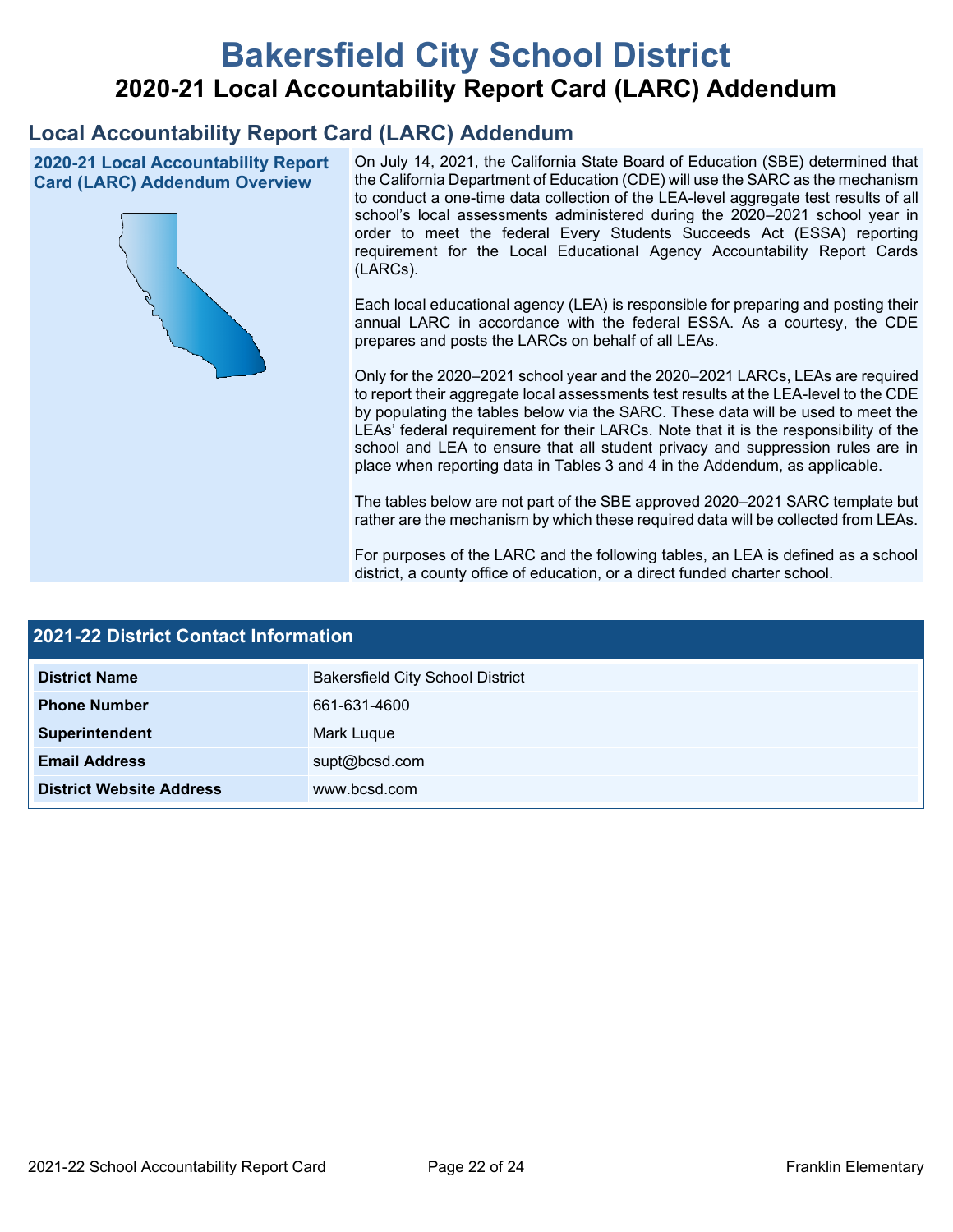# **Bakersfield City School District 2020-21 Local Accountability Report Card (LARC) Addendum**

## **Local Accountability Report Card (LARC) Addendum**

**2020-21 Local Accountability Report Card (LARC) Addendum Overview**



On July 14, 2021, the California State Board of Education (SBE) determined that the California Department of Education (CDE) will use the SARC as the mechanism to conduct a one-time data collection of the LEA-level aggregate test results of all school's local assessments administered during the 2020–2021 school year in order to meet the federal Every Students Succeeds Act (ESSA) reporting requirement for the Local Educational Agency Accountability Report Cards (LARCs).

Each local educational agency (LEA) is responsible for preparing and posting their annual LARC in accordance with the federal ESSA. As a courtesy, the CDE prepares and posts the LARCs on behalf of all LEAs.

Only for the 2020–2021 school year and the 2020–2021 LARCs, LEAs are required to report their aggregate local assessments test results at the LEA-level to the CDE by populating the tables below via the SARC. These data will be used to meet the LEAs' federal requirement for their LARCs. Note that it is the responsibility of the school and LEA to ensure that all student privacy and suppression rules are in place when reporting data in Tables 3 and 4 in the Addendum, as applicable.

The tables below are not part of the SBE approved 2020–2021 SARC template but rather are the mechanism by which these required data will be collected from LEAs.

For purposes of the LARC and the following tables, an LEA is defined as a school district, a county office of education, or a direct funded charter school.

| <b>2021-22 District Contact Information</b> |                                         |  |  |  |
|---------------------------------------------|-----------------------------------------|--|--|--|
| <b>District Name</b>                        | <b>Bakersfield City School District</b> |  |  |  |
| <b>Phone Number</b>                         | 661-631-4600                            |  |  |  |
| Superintendent                              | Mark Luque                              |  |  |  |
| <b>Email Address</b>                        | supt@bcsd.com                           |  |  |  |
| <b>District Website Address</b>             | www.bcsd.com                            |  |  |  |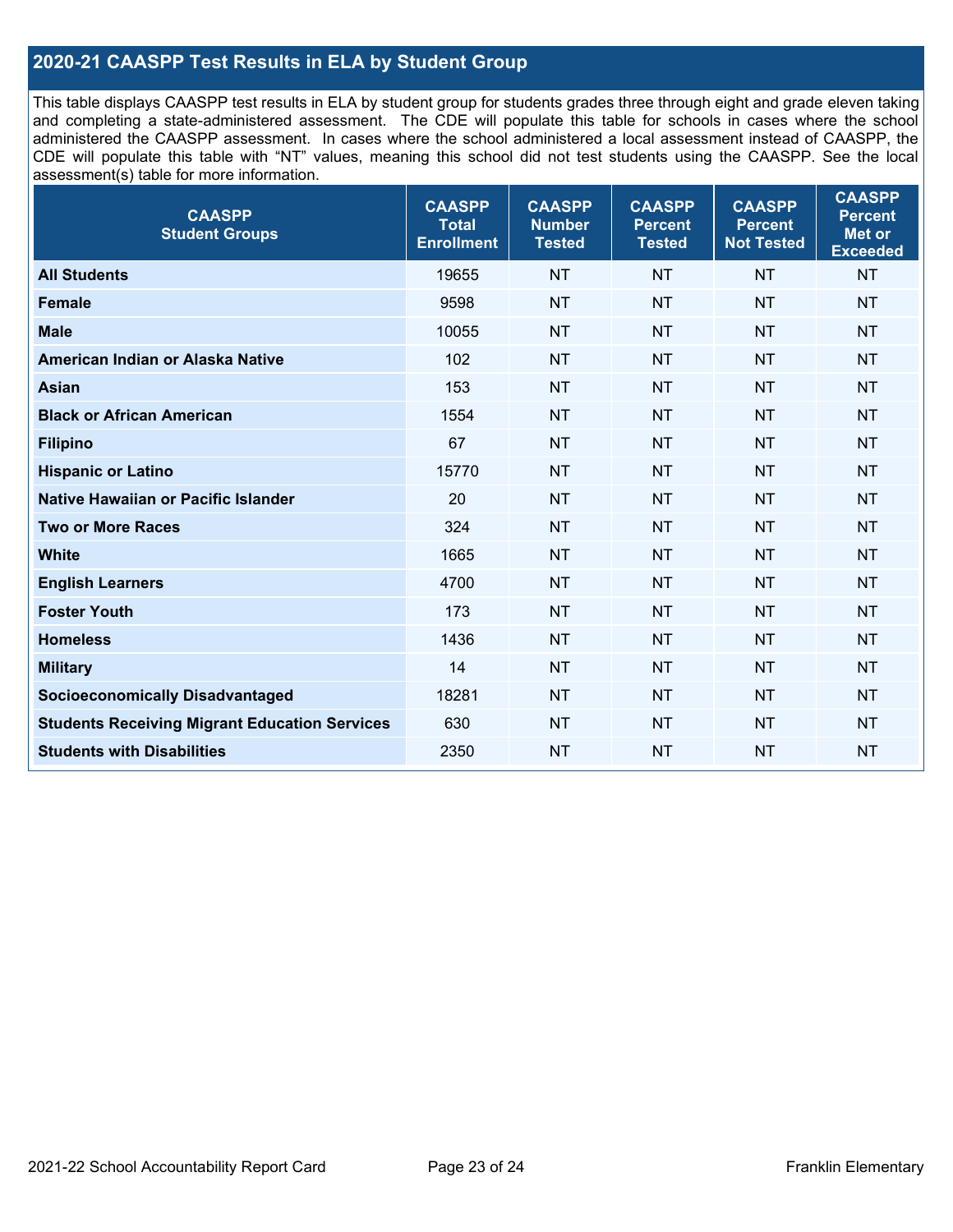## **2020-21 CAASPP Test Results in ELA by Student Group**

This table displays CAASPP test results in ELA by student group for students grades three through eight and grade eleven taking and completing a state-administered assessment. The CDE will populate this table for schools in cases where the school administered the CAASPP assessment. In cases where the school administered a local assessment instead of CAASPP, the CDE will populate this table with "NT" values, meaning this school did not test students using the CAASPP. See the local assessment(s) table for more information.

| <b>CAASPP</b><br><b>Student Groups</b>               | <b>CAASPP</b><br><b>Total</b><br><b>Enrollment</b> | <b>CAASPP</b><br><b>Number</b><br><b>Tested</b> | <b>CAASPP</b><br><b>Percent</b><br><b>Tested</b> | <b>CAASPP</b><br><b>Percent</b><br><b>Not Tested</b> | <b>CAASPP</b><br><b>Percent</b><br>Met or<br><b>Exceeded</b> |
|------------------------------------------------------|----------------------------------------------------|-------------------------------------------------|--------------------------------------------------|------------------------------------------------------|--------------------------------------------------------------|
| <b>All Students</b>                                  | 19655                                              | <b>NT</b>                                       | <b>NT</b>                                        | <b>NT</b>                                            | <b>NT</b>                                                    |
| <b>Female</b>                                        | 9598                                               | <b>NT</b>                                       | <b>NT</b>                                        | <b>NT</b>                                            | <b>NT</b>                                                    |
| <b>Male</b>                                          | 10055                                              | <b>NT</b>                                       | <b>NT</b>                                        | <b>NT</b>                                            | <b>NT</b>                                                    |
| American Indian or Alaska Native                     | 102                                                | <b>NT</b>                                       | <b>NT</b>                                        | <b>NT</b>                                            | <b>NT</b>                                                    |
| <b>Asian</b>                                         | 153                                                | <b>NT</b>                                       | <b>NT</b>                                        | <b>NT</b>                                            | <b>NT</b>                                                    |
| <b>Black or African American</b>                     | 1554                                               | <b>NT</b>                                       | <b>NT</b>                                        | <b>NT</b>                                            | NT                                                           |
| <b>Filipino</b>                                      | 67                                                 | <b>NT</b>                                       | <b>NT</b>                                        | <b>NT</b>                                            | <b>NT</b>                                                    |
| <b>Hispanic or Latino</b>                            | 15770                                              | <b>NT</b>                                       | <b>NT</b>                                        | <b>NT</b>                                            | <b>NT</b>                                                    |
| Native Hawaiian or Pacific Islander                  | 20                                                 | <b>NT</b>                                       | <b>NT</b>                                        | <b>NT</b>                                            | <b>NT</b>                                                    |
| <b>Two or More Races</b>                             | 324                                                | <b>NT</b>                                       | <b>NT</b>                                        | <b>NT</b>                                            | <b>NT</b>                                                    |
| <b>White</b>                                         | 1665                                               | <b>NT</b>                                       | <b>NT</b>                                        | <b>NT</b>                                            | <b>NT</b>                                                    |
| <b>English Learners</b>                              | 4700                                               | <b>NT</b>                                       | <b>NT</b>                                        | <b>NT</b>                                            | <b>NT</b>                                                    |
| <b>Foster Youth</b>                                  | 173                                                | <b>NT</b>                                       | <b>NT</b>                                        | <b>NT</b>                                            | <b>NT</b>                                                    |
| <b>Homeless</b>                                      | 1436                                               | <b>NT</b>                                       | <b>NT</b>                                        | <b>NT</b>                                            | <b>NT</b>                                                    |
| <b>Military</b>                                      | 14                                                 | <b>NT</b>                                       | <b>NT</b>                                        | <b>NT</b>                                            | <b>NT</b>                                                    |
| <b>Socioeconomically Disadvantaged</b>               | 18281                                              | <b>NT</b>                                       | <b>NT</b>                                        | <b>NT</b>                                            | <b>NT</b>                                                    |
| <b>Students Receiving Migrant Education Services</b> | 630                                                | <b>NT</b>                                       | <b>NT</b>                                        | <b>NT</b>                                            | NT                                                           |
| <b>Students with Disabilities</b>                    | 2350                                               | <b>NT</b>                                       | <b>NT</b>                                        | <b>NT</b>                                            | NT                                                           |